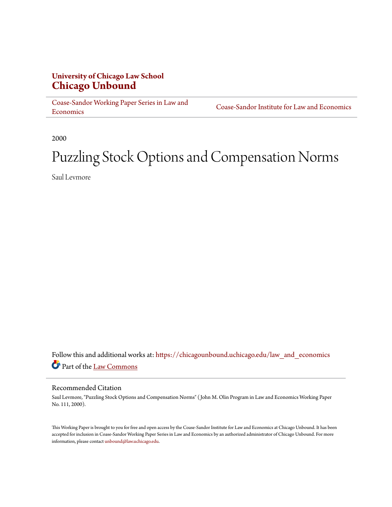# **University of Chicago Law School [Chicago Unbound](https://chicagounbound.uchicago.edu?utm_source=chicagounbound.uchicago.edu%2Flaw_and_economics%2F403&utm_medium=PDF&utm_campaign=PDFCoverPages)**

[Coase-Sandor Working Paper Series in Law and](https://chicagounbound.uchicago.edu/law_and_economics?utm_source=chicagounbound.uchicago.edu%2Flaw_and_economics%2F403&utm_medium=PDF&utm_campaign=PDFCoverPages) [Economics](https://chicagounbound.uchicago.edu/law_and_economics?utm_source=chicagounbound.uchicago.edu%2Flaw_and_economics%2F403&utm_medium=PDF&utm_campaign=PDFCoverPages)

[Coase-Sandor Institute for Law and Economics](https://chicagounbound.uchicago.edu/coase_sandor_institute?utm_source=chicagounbound.uchicago.edu%2Flaw_and_economics%2F403&utm_medium=PDF&utm_campaign=PDFCoverPages)

2000

# Puzzling Stock Options and Compensation Norms

Saul Levmore

Follow this and additional works at: [https://chicagounbound.uchicago.edu/law\\_and\\_economics](https://chicagounbound.uchicago.edu/law_and_economics?utm_source=chicagounbound.uchicago.edu%2Flaw_and_economics%2F403&utm_medium=PDF&utm_campaign=PDFCoverPages) Part of the [Law Commons](http://network.bepress.com/hgg/discipline/578?utm_source=chicagounbound.uchicago.edu%2Flaw_and_economics%2F403&utm_medium=PDF&utm_campaign=PDFCoverPages)

#### Recommended Citation

Saul Levmore, "Puzzling Stock Options and Compensation Norms" ( John M. Olin Program in Law and Economics Working Paper No. 111, 2000).

This Working Paper is brought to you for free and open access by the Coase-Sandor Institute for Law and Economics at Chicago Unbound. It has been accepted for inclusion in Coase-Sandor Working Paper Series in Law and Economics by an authorized administrator of Chicago Unbound. For more information, please contact [unbound@law.uchicago.edu.](mailto:unbound@law.uchicago.edu)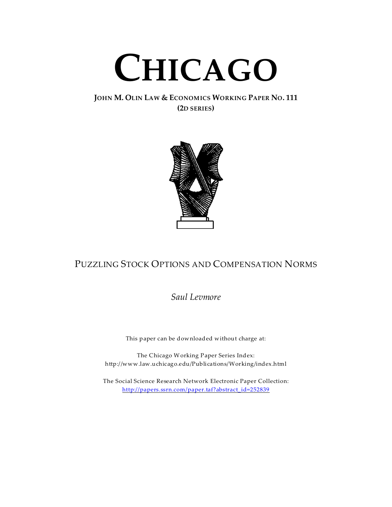

## **JOHN M. OLIN LAW & ECONOMICS WORKING PAPER NO. 111 (2D SERIES)**



# PUZZLING STOCK OPTIONS AND COMPENSATION NORMS

*Saul Levmore*

This paper can be downloaded without charge at:

The Chicago Working Paper Series Index: http://www.law.uchicago.edu/Publications/Working/index.html

The Social Science Research Network Electronic Paper Collection: http://papers.ssrn.com/paper.taf?abstract\_id=252839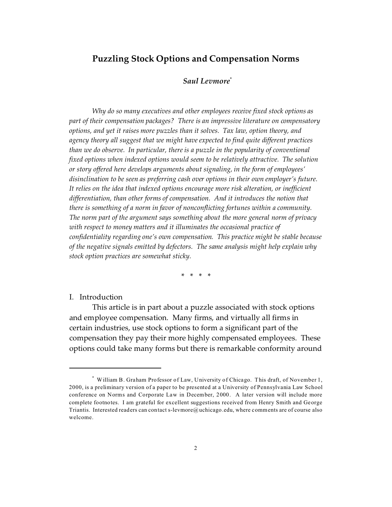## **Puzzling Stock Options and Compensation Norms**

#### *Saul Levmore\**

*Why do so many executives and other employees receive fixed stock options as part of their compensation packages? There is an impressive literature on compensatory options, and yet it raises more puzzles than it solves. Tax law, option theory, and agency theory all suggest that we might have expected to find quite different practices than we do observe. In particular, there is a puzzle in the popularity of conventional fixed options when indexed options would seem to be relatively attractive. The solution or story offered here develops arguments about signaling, in the form of employees' disinclination to be seen as preferring cash over options in their own employer's future. It relies on the idea that indexed options encourage more risk alteration, or inefficient differentiation, than other forms of compensation. And it introduces the notion that there is something of a norm in favor of nonconflicting fortunes within a community. The norm part of the argument says something about the more general norm of privacy with respect to money matters and it illuminates the occasional practice of confidentiality regarding one's own compensation. This practice might be stable because of the negative signals emitted by defectors. The same analysis might help explain why stock option practices are somewhat sticky.*

\* \* \* \*

#### I. Introduction

This article is in part about a puzzle associated with stock options and employee compensation. Many firms, and virtually all firms in certain industries, use stock options to form a significant part of the compensation they pay their more highly compensated employees. These options could take many forms but there is remarkable conformity around

<sup>\*</sup> William B. Graham Professor of Law, University of Chicago. This draft, of November 1, 2000, is a preliminary version of a paper to be presented at a University of Pennsylvania Law School conference on Norms and Corporate Law in December, 2000. A later version will include more complete footnotes. I am grateful for excellent suggestions received from Henry Smith and George Triantis. Interested readers can contact s-levmore@uchicago.edu, where comments are of course also welcome.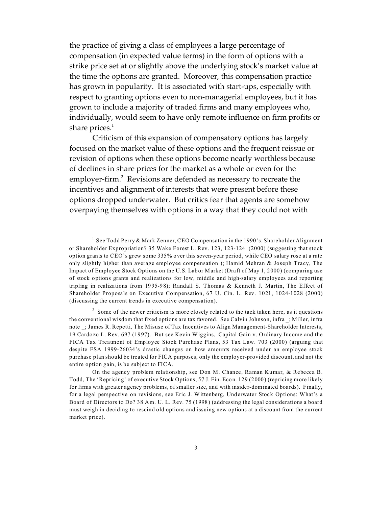the practice of giving a class of employees a large percentage of compensation (in expected value terms) in the form of options with a strike price set at or slightly above the underlying stock's market value at the time the options are granted. Moreover, this compensation practice has grown in popularity. It is associated with start-ups, especially with respect to granting options even to non-managerial employees, but it has grown to include a majority of traded firms and many employees who, individually, would seem to have only remote influence on firm profits or share prices. $1$ 

Criticism of this expansion of compensatory options has largely focused on the market value of these options and the frequent reissue or revision of options when these options become nearly worthless because of declines in share prices for the market as a whole or even for the employer-firm.<sup>2</sup> Revisions are defended as necessary to recreate the incentives and alignment of interests that were present before these options dropped underwater. But critics fear that agents are somehow overpaying themselves with options in a way that they could not with

<sup>&</sup>lt;sup>1</sup> See Todd Perry & Mark Zenner, CEO Compensation in the 1990's: Shareholder Alignment or Shareholder Expropriation? 35 Wake Forest L. Rev. 123, 123-124 (2000) (suggesting that stock option grants to CEO's grew some 335% over this seven-year period, while CEO salary rose at a rate only slightly higher than average employee compensation ); Hamid Mehran & Joseph Tracy, The Impact of Employee Stock Options on the U.S. Labor Market (Draft of May 1, 2000) (comparing use of stock options grants and realizations for low, middle and high-salary employees and reporting tripling in realizations from 1995-98); Randall S. Thomas & Kenneth J. Martin, The Effect of Shareholder Proposals on Executive Compensation, 67 U. Cin. L. Rev. 1021, 1024-1028 (2000) (discussing the current trends in executive compensation).

 $2$  Some of the newer criticism is more closely related to the tack taken here, as it questions the conventional wisdom that fixed options are tax favored. See Calvin Johnson, infra \_; Miller, infra note ; James R. Repetti, The Misuse of Tax Incentives to Align Management-Shareholder Interests, 19 Cardozo L. Rev. 697 (1997). But see Kevin Wiggins, Capital Gain v. Ordinary Income and the FICA Tax Treatment of Employee Stock Purchase Plans, 53 Tax Law. 703 (2000) (arguing that despite FSA 1999-26034's drastic changes on how amounts received under an employee stock purchase plan should be treated for FICA purposes, only the employer-provided discount, and not the entire option gain, is be subject to FICA.

On the agency problem relationship, see Don M. Chance, Raman Kumar, & Rebecca B. Todd, The 'Repricing' of executive Stock Options, 57 J. Fin. Econ. 129 (2000) (repricing more likely for firms with greater agency problems, of smaller size, and with insider-dominated boards). Finally, for a legal perspective on revisions, see Eric J. Wittenberg, Underwater Stock Options: What's a Board of Directors to Do? 38 Am. U. L. Rev. 75 (1998) (addressing the legal considerations a board must weigh in deciding to rescind old options and issuing new options at a discount from the current market price).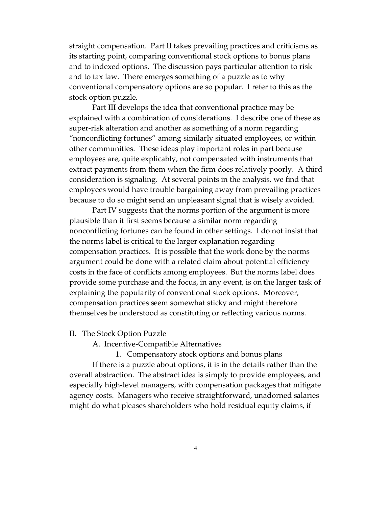straight compensation. Part II takes prevailing practices and criticisms as its starting point, comparing conventional stock options to bonus plans and to indexed options. The discussion pays particular attention to risk and to tax law. There emerges something of a puzzle as to why conventional compensatory options are so popular. I refer to this as the stock option puzzle.

Part III develops the idea that conventional practice may be explained with a combination of considerations. I describe one of these as super-risk alteration and another as something of a norm regarding "nonconflicting fortunes" among similarly situated employees, or within other communities. These ideas play important roles in part because employees are, quite explicably, not compensated with instruments that extract payments from them when the firm does relatively poorly. A third consideration is signaling. At several points in the analysis, we find that employees would have trouble bargaining away from prevailing practices because to do so might send an unpleasant signal that is wisely avoided.

Part IV suggests that the norms portion of the argument is more plausible than it first seems because a similar norm regarding nonconflicting fortunes can be found in other settings. I do not insist that the norms label is critical to the larger explanation regarding compensation practices. It is possible that the work done by the norms argument could be done with a related claim about potential efficiency costs in the face of conflicts among employees. But the norms label does provide some purchase and the focus, in any event, is on the larger task of explaining the popularity of conventional stock options. Moreover, compensation practices seem somewhat sticky and might therefore themselves be understood as constituting or reflecting various norms.

#### II. The Stock Option Puzzle

A. Incentive-Compatible Alternatives

1. Compensatory stock options and bonus plans If there is a puzzle about options, it is in the details rather than the overall abstraction. The abstract idea is simply to provide employees, and especially high-level managers, with compensation packages that mitigate agency costs. Managers who receive straightforward, unadorned salaries might do what pleases shareholders who hold residual equity claims, if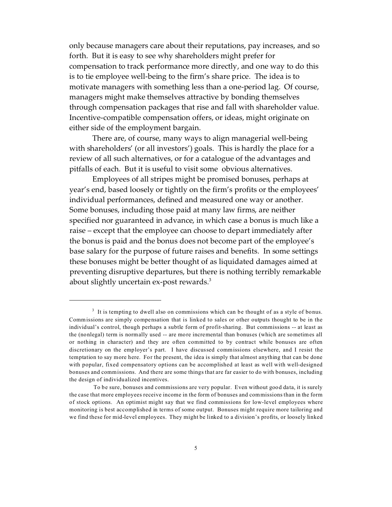only because managers care about their reputations, pay increases, and so forth. But it is easy to see why shareholders might prefer for compensation to track performance more directly, and one way to do this is to tie employee well-being to the firm's share price. The idea is to motivate managers with something less than a one-period lag. Of course, managers might make themselves attractive by bonding themselves through compensation packages that rise and fall with shareholder value. Incentive-compatible compensation offers, or ideas, might originate on either side of the employment bargain.

There are, of course, many ways to align managerial well-being with shareholders' (or all investors') goals. This is hardly the place for a review of all such alternatives, or for a catalogue of the advantages and pitfalls of each. But it is useful to visit some obvious alternatives.

Employees of all stripes might be promised bonuses, perhaps at year's end, based loosely or tightly on the firm's profits or the employees' individual performances, defined and measured one way or another. Some bonuses, including those paid at many law firms, are neither specified nor guaranteed in advance, in which case a bonus is much like a raise – except that the employee can choose to depart immediately after the bonus is paid and the bonus does not become part of the employee's base salary for the purpose of future raises and benefits. In some settings these bonuses might be better thought of as liquidated damages aimed at preventing disruptive departures, but there is nothing terribly remarkable about slightly uncertain ex-post rewards.<sup>3</sup>

<sup>&</sup>lt;sup>3</sup> It is tempting to dwell also on commissions which can be thought of as a style of bonus. Commissions are simply compensation that is linked to sales or other outputs thought to be in the individual's control, though perhaps a subtle form of profit-sharing. But commissions -- at least as the (nonlegal) term is normally used -- are more incremental than bonuses (which are sometimes all or nothing in character) and they are often committed to by contract while bonuses are often discretionary on the employer's part. I have discussed commissions elsewhere, and I resist the temptation to say more here. For the present, the idea is simply that almost anything that can be done with popular, fixed compensatory options can be accomplished at least as well with well-designed bonuses and commissions. And there are some things that are far easier to do with bonuses, including the design of individualized incentives.

To be sure, bonuses and commissions are very popular. Even without good data, it is surely the case that more employees receive income in the form of bonuses and commissions than in the form of stock options. An optimist might say that we find commissions for low-level employees where monitoring is best accomplished in terms of some output. Bonuses might require more tailoring and we find these for mid-level employees. They might be linked to a division's profits, or loosely linked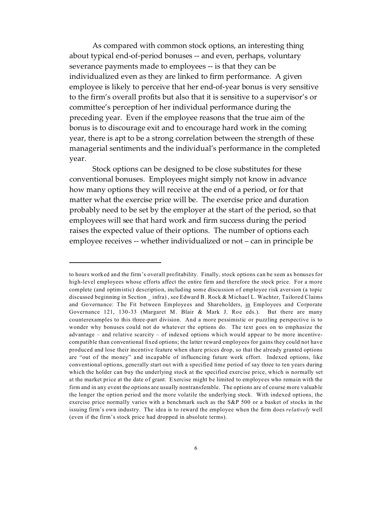As compared with common stock options, an interesting thing about typical end-of-period bonuses -- and even, perhaps, voluntary severance payments made to employees -- is that they can be individualized even as they are linked to firm performance. A given employee is likely to perceive that her end-of-year bonus is very sensitive to the firm's overall profits but also that it is sensitive to a supervisor's or committee's perception of her individual performance during the preceding year. Even if the employee reasons that the true aim of the bonus is to discourage exit and to encourage hard work in the coming year, there is apt to be a strong correlation between the strength of these managerial sentiments and the individual's performance in the completed year.

Stock options can be designed to be close substitutes for these conventional bonuses. Employees might simply not know in advance how many options they will receive at the end of a period, or for that matter what the exercise price will be. The exercise price and duration probably need to be set by the employer at the start of the period, so that employees will see that hard work and firm success during the period raises the expected value of their options. The number of options each employee receives -- whether individualized or not – can in principle be

to hours worked and the firm's overall profitability. Finally, stock options can be seen as bonuses for high-level employees whose efforts affect the entire firm and therefore the stock price. For a more complete (and optimistic) description, including some discussion of employee risk aversion (a topic discussed beginning in Section infra), see Edward B. Rock & Michael L. Wachter, Tailored Claims and Governance: The Fit between Employees and Shareholders, in Employees and Corporate Governance 121, 130-33 (Margaret M. Blair & Mark J. Roe eds.). But there are many counterexamples to this three-part division. And a more pessimistic or puzzling perspective is to wonder why bonuses could not do whatever the options do. The text goes on to emphasize the advantage – and relative scarcity – of indexed options which would appear to be more incentivecompatible than conventional fixed options; the latter reward employees for gains they could not have produced and lose their incentive feature when share prices drop, so that the already granted options are "out of the money" and incapable of influencing future work effort. Indexed options, like conventional options, generally start out with a specified time period of say three to ten years during which the holder can buy the underlying stock at the specified exercise price, which is normally set at the market price at the date of grant. Exercise might be limited to employees who remain with the firm and in any event the options are usually nontransferable. The options are of course more valuable the longer the option period and the more volatile the underlying stock. With indexed options, the exercise price normally varies with a benchmark such as the S&P 500 or a basket of stocks in the issuing firm's own industry. The idea is to reward the employee when the firm does *relatively* well (even if the firm's stock price had dropped in absolute terms).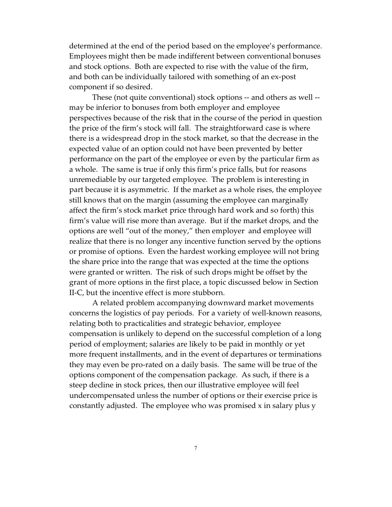determined at the end of the period based on the employee's performance. Employees might then be made indifferent between conventional bonuses and stock options. Both are expected to rise with the value of the firm, and both can be individually tailored with something of an ex-post component if so desired.

These (not quite conventional) stock options -- and others as well - may be inferior to bonuses from both employer and employee perspectives because of the risk that in the course of the period in question the price of the firm's stock will fall. The straightforward case is where there is a widespread drop in the stock market, so that the decrease in the expected value of an option could not have been prevented by better performance on the part of the employee or even by the particular firm as a whole. The same is true if only this firm's price falls, but for reasons unremediable by our targeted employee. The problem is interesting in part because it is asymmetric. If the market as a whole rises, the employee still knows that on the margin (assuming the employee can marginally affect the firm's stock market price through hard work and so forth) this firm's value will rise more than average. But if the market drops, and the options are well "out of the money," then employer and employee will realize that there is no longer any incentive function served by the options or promise of options. Even the hardest working employee will not bring the share price into the range that was expected at the time the options were granted or written. The risk of such drops might be offset by the grant of more options in the first place, a topic discussed below in Section II-C, but the incentive effect is more stubborn.

A related problem accompanying downward market movements concerns the logistics of pay periods. For a variety of well-known reasons, relating both to practicalities and strategic behavior, employee compensation is unlikely to depend on the successful completion of a long period of employment; salaries are likely to be paid in monthly or yet more frequent installments, and in the event of departures or terminations they may even be pro-rated on a daily basis. The same will be true of the options component of the compensation package. As such, if there is a steep decline in stock prices, then our illustrative employee will feel undercompensated unless the number of options or their exercise price is constantly adjusted. The employee who was promised x in salary plus y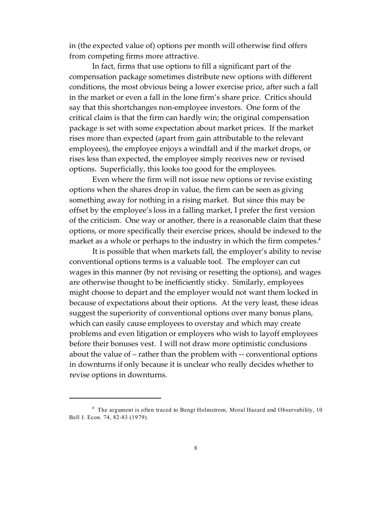in (the expected value of) options per month will otherwise find offers from competing firms more attractive.

In fact, firms that use options to fill a significant part of the compensation package sometimes distribute new options with different conditions, the most obvious being a lower exercise price, after such a fall in the market or even a fall in the lone firm's share price. Critics should say that this shortchanges non-employee investors. One form of the critical claim is that the firm can hardly win; the original compensation package is set with some expectation about market prices. If the market rises more than expected (apart from gain attributable to the relevant employees), the employee enjoys a windfall and if the market drops, or rises less than expected, the employee simply receives new or revised options. Superficially, this looks too good for the employees.

Even where the firm will not issue new options or revise existing options when the shares drop in value, the firm can be seen as giving something away for nothing in a rising market. But since this may be offset by the employee's loss in a falling market, I prefer the first version of the criticism. One way or another, there is a reasonable claim that these options, or more specifically their exercise prices, should be indexed to the market as a whole or perhaps to the industry in which the firm competes. $4$ 

It is possible that when markets fall, the employer's ability to revise conventional options terms is a valuable tool. The employer can cut wages in this manner (by not revising or resetting the options), and wages are otherwise thought to be inefficiently sticky. Similarly, employees might choose to depart and the employer would not want them locked in because of expectations about their options. At the very least, these ideas suggest the superiority of conventional options over many bonus plans, which can easily cause employees to overstay and which may create problems and even litigation or employers who wish to layoff employees before their bonuses vest. I will not draw more optimistic conclusions about the value of – rather than the problem with -- conventional options in downturns if only because it is unclear who really decides whether to revise options in downturns.

<sup>&</sup>lt;sup>4</sup> The argument is often traced to Bengt Holmstrom, Moral Hazard and Observability, 10 Bell J. Econ. 74, 82-83 (1979).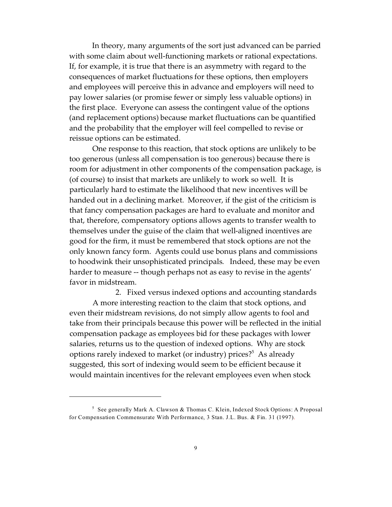In theory, many arguments of the sort just advanced can be parried with some claim about well-functioning markets or rational expectations. If, for example, it is true that there is an asymmetry with regard to the consequences of market fluctuations for these options, then employers and employees will perceive this in advance and employers will need to pay lower salaries (or promise fewer or simply less valuable options) in the first place. Everyone can assess the contingent value of the options (and replacement options) because market fluctuations can be quantified and the probability that the employer will feel compelled to revise or reissue options can be estimated.

One response to this reaction, that stock options are unlikely to be too generous (unless all compensation is too generous) because there is room for adjustment in other components of the compensation package, is (of course) to insist that markets are unlikely to work so well. It is particularly hard to estimate the likelihood that new incentives will be handed out in a declining market. Moreover, if the gist of the criticism is that fancy compensation packages are hard to evaluate and monitor and that, therefore, compensatory options allows agents to transfer wealth to themselves under the guise of the claim that well-aligned incentives are good for the firm, it must be remembered that stock options are not the only known fancy form. Agents could use bonus plans and commissions to hoodwink their unsophisticated principals. Indeed, these may be even harder to measure -- though perhaps not as easy to revise in the agents' favor in midstream.

2. Fixed versus indexed options and accounting standards A more interesting reaction to the claim that stock options, and even their midstream revisions, do not simply allow agents to fool and take from their principals because this power will be reflected in the initial compensation package as employees bid for these packages with lower salaries, returns us to the question of indexed options. Why are stock options rarely indexed to market (or industry) prices?<sup>5</sup> As already suggested, this sort of indexing would seem to be efficient because it would maintain incentives for the relevant employees even when stock

<sup>5</sup> See generally Mark A. Clawson & Thomas C. Klein, Indexed Stock Options: A Proposal for Compensation Commensurate With Performance, 3 Stan. J.L. Bus. & Fin. 31 (1997).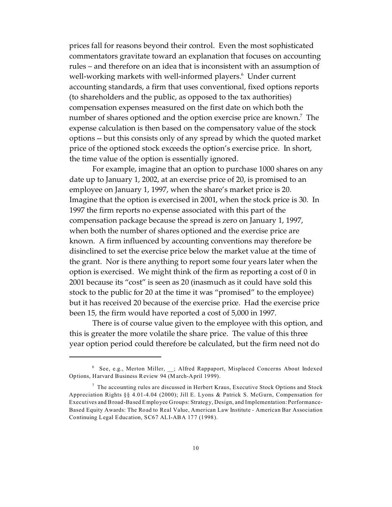prices fall for reasons beyond their control. Even the most sophisticated commentators gravitate toward an explanation that focuses on accounting rules – and therefore on an idea that is inconsistent with an assumption of well-working markets with well-informed players.<sup>6</sup> Under current accounting standards, a firm that uses conventional, fixed options reports (to shareholders and the public, as opposed to the tax authorities) compensation expenses measured on the first date on which both the number of shares optioned and the option exercise price are known. $^7\,$  The expense calculation is then based on the compensatory value of the stock options -- but this consists only of any spread by which the quoted market price of the optioned stock exceeds the option's exercise price. In short, the time value of the option is essentially ignored.

For example, imagine that an option to purchase 1000 shares on any date up to January 1, 2002, at an exercise price of 20, is promised to an employee on January 1, 1997, when the share's market price is 20. Imagine that the option is exercised in 2001, when the stock price is 30. In 1997 the firm reports no expense associated with this part of the compensation package because the spread is zero on January 1, 1997, when both the number of shares optioned and the exercise price are known. A firm influenced by accounting conventions may therefore be disinclined to set the exercise price below the market value at the time of the grant. Nor is there anything to report some four years later when the option is exercised. We might think of the firm as reporting a cost of 0 in 2001 because its "cost" is seen as 20 (inasmuch as it could have sold this stock to the public for 20 at the time it was "promised" to the employee) but it has received 20 because of the exercise price. Had the exercise price been 15, the firm would have reported a cost of 5,000 in 1997.

There is of course value given to the employee with this option, and this is greater the more volatile the share price. The value of this three year option period could therefore be calculated, but the firm need not do

<sup>&</sup>lt;sup>6</sup> See, e.g., Merton Miller, \_\_; Alfred Rappaport, Misplaced Concerns About Indexed Options, Harvard Business Review 94 (M arch-April 1999).

<sup>&</sup>lt;sup>7</sup> The accounting rules are discussed in Herbert Kraus, Executive Stock Options and Stock Appreciation Rights §§ 4.01-4.04 (2000); Jill E. Lyons & Patrick S. McGurn, Compensation for Executives and Broad-Based Employee Groups: Strategy, Design, and Implementation: Performance-Based Equity Awards: The Road to Real Value, American Law Institute - American Bar Association Continuing Legal Education, SC67 ALI-ABA 177 (1998).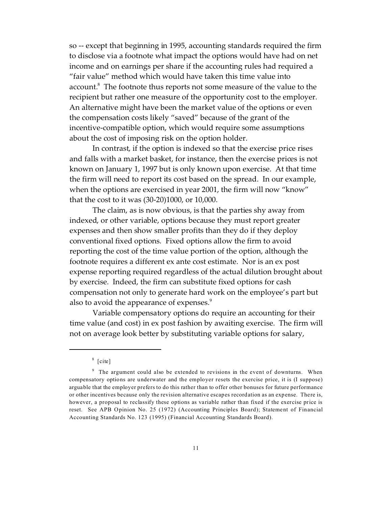so -- except that beginning in 1995, accounting standards required the firm to disclose via a footnote what impact the options would have had on net income and on earnings per share if the accounting rules had required a "fair value" method which would have taken this time value into account.<sup>8</sup> The footnote thus reports not some measure of the value to the recipient but rather one measure of the opportunity cost to the employer. An alternative might have been the market value of the options or even the compensation costs likely "saved" because of the grant of the incentive-compatible option, which would require some assumptions about the cost of imposing risk on the option holder.

In contrast, if the option is indexed so that the exercise price rises and falls with a market basket, for instance, then the exercise prices is not known on January 1, 1997 but is only known upon exercise. At that time the firm will need to report its cost based on the spread. In our example, when the options are exercised in year 2001, the firm will now "know" that the cost to it was (30-20)1000, or 10,000.

The claim, as is now obvious, is that the parties shy away from indexed, or other variable, options because they must report greater expenses and then show smaller profits than they do if they deploy conventional fixed options. Fixed options allow the firm to avoid reporting the cost of the time value portion of the option, although the footnote requires a different ex ante cost estimate. Nor is an ex post expense reporting required regardless of the actual dilution brought about by exercise. Indeed, the firm can substitute fixed options for cash compensation not only to generate hard work on the employee's part but also to avoid the appearance of expenses.<sup>9</sup>

Variable compensatory options do require an accounting for their time value (and cost) in ex post fashion by awaiting exercise. The firm will not on average look better by substituting variable options for salary,

<sup>8</sup> [cite]

<sup>&</sup>lt;sup>9</sup> The argument could also be extended to revisions in the event of downturns. When compensatory options are underwater and the employer resets the exercise price, it is (I suppose) arguable that the employer prefers to do this rather than to offer other bonuses for future performance or other incentives because only the revision alternative escapes recordation as an expense. There is, however, a proposal to reclassify these options as variable rather than fixed if the exercise price is reset. See APB Opinion No. 25 (1972) (Accounting Principles Board); Statement of Financial Accounting Standards No. 123 (1995) (Financial Accounting Standards Board).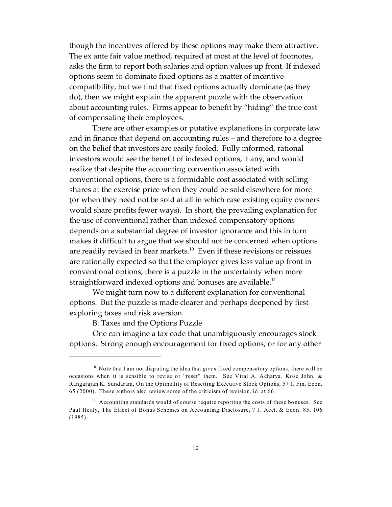though the incentives offered by these options may make them attractive. The ex ante fair value method, required at most at the level of footnotes, asks the firm to report both salaries and option values up front. If indexed options seem to dominate fixed options as a matter of incentive compatibility, but we find that fixed options actually dominate (as they do), then we might explain the apparent puzzle with the observation about accounting rules. Firms appear to benefit by "hiding" the true cost of compensating their employees.

There are other examples or putative explanations in corporate law and in finance that depend on accounting rules – and therefore to a degree on the belief that investors are easily fooled. Fully informed, rational investors would see the benefit of indexed options, if any, and would realize that despite the accounting convention associated with conventional options, there is a formidable cost associated with selling shares at the exercise price when they could be sold elsewhere for more (or when they need not be sold at all in which case existing equity owners would share profits fewer ways). In short, the prevailing explanation for the use of conventional rather than indexed compensatory options depends on a substantial degree of investor ignorance and this in turn makes it difficult to argue that we should not be concerned when options are readily revised in bear markets.<sup>10</sup> Even if these revisions or reissues are rationally expected so that the employer gives less value up front in conventional options, there is a puzzle in the uncertainty when more straightforward indexed options and bonuses are available.<sup>11</sup>

We might turn now to a different explanation for conventional options. But the puzzle is made clearer and perhaps deepened by first exploring taxes and risk aversion.

B. Taxes and the Options Puzzle

One can imagine a tax code that unambiguously encourages stock options. Strong enough encouragement for fixed options, or for any other

<sup>&</sup>lt;sup>10</sup> Note that I am not disputing the idea that *given* fixed compensatory options, there will be occasions when it is sensible to revise or "reset" them. See Viral A. Acharya, Kose John, & Rangarajan K. Sundaram, On the Optimality of Resetting Executive Stock Options, 57 J. Fin. Econ. 65 (2000). These authors also review some of the criticism of revision, id. at 66.

<sup>&</sup>lt;sup>11</sup> Accounting standards would of course require reporting the costs of these bonuses. See Paul Healy, The Effect of Bonus Schemes on Accounting Disclosure, 7 J. Acct. & Econ. 85, 106 (1985).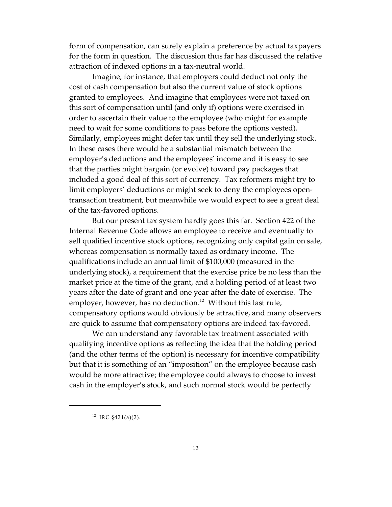form of compensation, can surely explain a preference by actual taxpayers for the form in question. The discussion thus far has discussed the relative attraction of indexed options in a tax-neutral world.

Imagine, for instance, that employers could deduct not only the cost of cash compensation but also the current value of stock options granted to employees. And imagine that employees were not taxed on this sort of compensation until (and only if) options were exercised in order to ascertain their value to the employee (who might for example need to wait for some conditions to pass before the options vested). Similarly, employees might defer tax until they sell the underlying stock. In these cases there would be a substantial mismatch between the employer's deductions and the employees' income and it is easy to see that the parties might bargain (or evolve) toward pay packages that included a good deal of this sort of currency. Tax reformers might try to limit employers' deductions or might seek to deny the employees opentransaction treatment, but meanwhile we would expect to see a great deal of the tax-favored options.

But our present tax system hardly goes this far. Section 422 of the Internal Revenue Code allows an employee to receive and eventually to sell qualified incentive stock options, recognizing only capital gain on sale, whereas compensation is normally taxed as ordinary income. The qualifications include an annual limit of \$100,000 (measured in the underlying stock), a requirement that the exercise price be no less than the market price at the time of the grant, and a holding period of at least two years after the date of grant and one year after the date of exercise. The employer, however, has no deduction.<sup>12</sup> Without this last rule, compensatory options would obviously be attractive, and many observers are quick to assume that compensatory options are indeed tax-favored.

We can understand any favorable tax treatment associated with qualifying incentive options as reflecting the idea that the holding period (and the other terms of the option) is necessary for incentive compatibility but that it is something of an "imposition" on the employee because cash would be more attractive; the employee could always to choose to invest cash in the employer's stock, and such normal stock would be perfectly

<sup>&</sup>lt;sup>12</sup> IRC  $$421(a)(2)$ .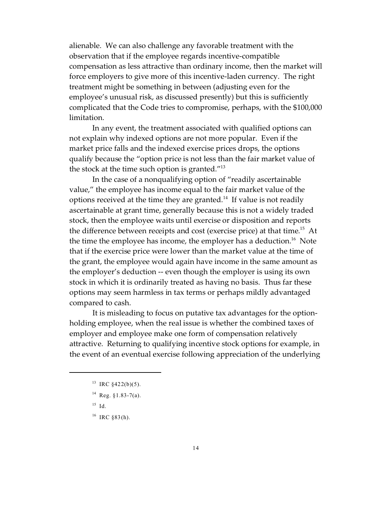alienable. We can also challenge any favorable treatment with the observation that if the employee regards incentive-compatible compensation as less attractive than ordinary income, then the market will force employers to give more of this incentive-laden currency. The right treatment might be something in between (adjusting even for the employee's unusual risk, as discussed presently) but this is sufficiently complicated that the Code tries to compromise, perhaps, with the \$100,000 limitation.

In any event, the treatment associated with qualified options can not explain why indexed options are not more popular. Even if the market price falls and the indexed exercise prices drops, the options qualify because the "option price is not less than the fair market value of the stock at the time such option is granted. $^{\prime\prime}^{13}$ 

In the case of a nonqualifying option of "readily ascertainable value," the employee has income equal to the fair market value of the options received at the time they are granted.<sup>14</sup> If value is not readily ascertainable at grant time, generally because this is not a widely traded stock, then the employee waits until exercise or disposition and reports the difference between receipts and cost (exercise price) at that time.<sup>15</sup> At the time the employee has income, the employer has a deduction.<sup>16</sup> Note that if the exercise price were lower than the market value at the time of the grant, the employee would again have income in the same amount as the employer's deduction -- even though the employer is using its own stock in which it is ordinarily treated as having no basis. Thus far these options may seem harmless in tax terms or perhaps mildly advantaged compared to cash.

It is misleading to focus on putative tax advantages for the optionholding employee, when the real issue is whether the combined taxes of employer and employee make one form of compensation relatively attractive. Returning to qualifying incentive stock options for example, in the event of an eventual exercise following appreciation of the underlying

<sup>&</sup>lt;sup>13</sup> IRC  $§422(b)(5)$ .

 $14$  Reg. §1.83-7(a).

 $15$  Id.

 $16$  IRC §83(h).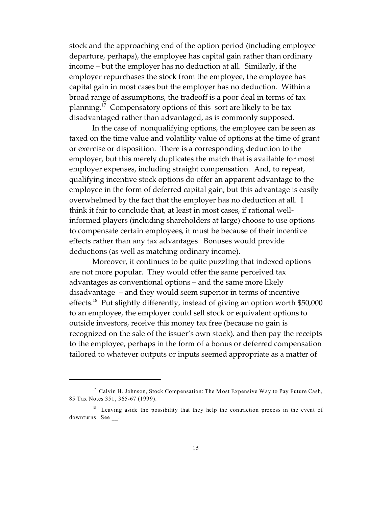stock and the approaching end of the option period (including employee departure, perhaps), the employee has capital gain rather than ordinary income – but the employer has no deduction at all. Similarly, if the employer repurchases the stock from the employee, the employee has capital gain in most cases but the employer has no deduction. Within a broad range of assumptions, the tradeoff is a poor deal in terms of tax planning.<sup>17</sup> Compensatory options of this sort are likely to be tax disadvantaged rather than advantaged, as is commonly supposed.

In the case of nonqualifying options, the employee can be seen as taxed on the time value and volatility value of options at the time of grant or exercise or disposition. There is a corresponding deduction to the employer, but this merely duplicates the match that is available for most employer expenses, including straight compensation. And, to repeat, qualifying incentive stock options do offer an apparent advantage to the employee in the form of deferred capital gain, but this advantage is easily overwhelmed by the fact that the employer has no deduction at all. I think it fair to conclude that, at least in most cases, if rational wellinformed players (including shareholders at large) choose to use options to compensate certain employees, it must be because of their incentive effects rather than any tax advantages. Bonuses would provide deductions (as well as matching ordinary income).

Moreover, it continues to be quite puzzling that indexed options are not more popular. They would offer the same perceived tax advantages as conventional options – and the same more likely disadvantage – and they would seem superior in terms of incentive effects.<sup>18</sup> Put slightly differently, instead of giving an option worth \$50,000 to an employee, the employer could sell stock or equivalent options to outside investors, receive this money tax free (because no gain is recognized on the sale of the issuer's own stock), and then pay the receipts to the employee, perhaps in the form of a bonus or deferred compensation tailored to whatever outputs or inputs seemed appropriate as a matter of

<sup>&</sup>lt;sup>17</sup> Calvin H. Johnson, Stock Compensation: The Most Expensive Way to Pay Future Cash, 85 Tax Notes 351, 365-67 (1999).

<sup>&</sup>lt;sup>18</sup> Leaving aside the possibility that they help the contraction process in the event of downturns. See .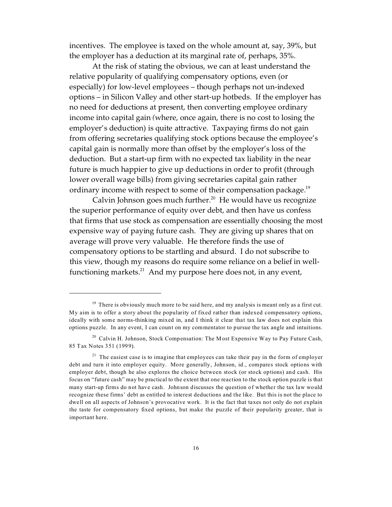incentives. The employee is taxed on the whole amount at, say, 39%, but the employer has a deduction at its marginal rate of, perhaps, 35%.

At the risk of stating the obvious, we can at least understand the relative popularity of qualifying compensatory options, even (or especially) for low-level employees – though perhaps not un-indexed options – in Silicon Valley and other start-up hotbeds. If the employer has no need for deductions at present, then converting employee ordinary income into capital gain *(*where, once again, there is no cost to losing the employer's deduction) is quite attractive. Taxpaying firms do not gain from offering secretaries qualifying stock options because the employee's capital gain is normally more than offset by the employer's loss of the deduction. But a start-up firm with no expected tax liability in the near future is much happier to give up deductions in order to profit (through lower overall wage bills) from giving secretaries capital gain rather ordinary income with respect to some of their compensation package.<sup>19</sup>

Calvin Johnson goes much further.<sup>20</sup> He would have us recognize the superior performance of equity over debt, and then have us confess that firms that use stock as compensation are essentially choosing the most expensive way of paying future cash. They are giving up shares that on average will prove very valuable. He therefore finds the use of compensatory options to be startling and absurd. I do not subscribe to this view, though my reasons do require some reliance on a belief in wellfunctioning markets.<sup>21</sup> And my purpose here does not, in any event,

 $19$  There is obviously much more to be said here, and my analysis is meant only as a first cut. My aim is to offer a story about the popularity of fixed rather than indexed compensatory options, ideally with some norms-thinking mixed in, and I think it clear that tax law does not explain this options puzzle. In any event, I can count on my commentator to pursue the tax angle and intuitions.

<sup>&</sup>lt;sup>20</sup> Calvin H. Johnson, Stock Compensation: The Most Expensive Way to Pay Future Cash, 85 Tax Notes 351 (1999).

 $21$  The easiest case is to imagine that employees can take their pay in the form of employer debt and turn it into employer equity. More generally, Johnson, id., compares stock options with employer debt, though he also explores the choice between stock (or stock options) and cash. His focus on "future cash" may be practical to the extent that one reaction to the stock option puzzle is that many start-up firms do not have cash. Johnson discusses the question of whether the tax law would recognize these firms' debt as entitled to interest deductions and the like. But this is not the place to dwell on all aspects of Johnson's provocative work. It is the fact that taxes not only do not explain the taste for compensatory fixed options, but make the puzzle of their popularity greater, that is important here.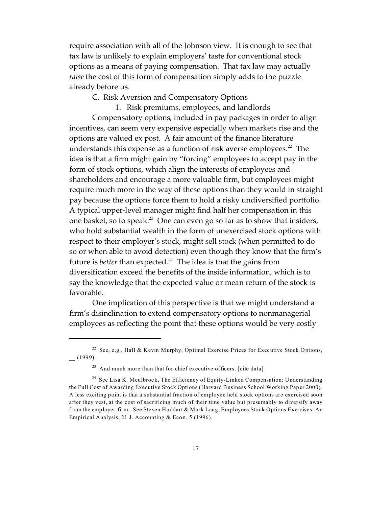require association with all of the Johnson view. It is enough to see that tax law is unlikely to explain employers' taste for conventional stock options as a means of paying compensation. That tax law may actually *raise* the cost of this form of compensation simply adds to the puzzle already before us.

C. Risk Aversion and Compensatory Options

1. Risk premiums, employees, and landlords

Compensatory options, included in pay packages in order to align incentives, can seem very expensive especially when markets rise and the options are valued ex post. A fair amount of the finance literature understands this expense as a function of risk averse employees. $^{22}$  The idea is that a firm might gain by "forcing" employees to accept pay in the form of stock options, which align the interests of employees and shareholders and encourage a more valuable firm, but employees might require much more in the way of these options than they would in straight pay because the options force them to hold a risky undiversified portfolio. A typical upper-level manager might find half her compensation in this one basket, so to speak.<sup>23</sup> One can even go so far as to show that insiders, who hold substantial wealth in the form of unexercised stock options with respect to their employer's stock, might sell stock (when permitted to do so or when able to avoid detection) even though they know that the firm's future is *better* than expected.<sup>24</sup> The idea is that the gains from diversification exceed the benefits of the inside information, which is to say the knowledge that the expected value or mean return of the stock is favorable.

One implication of this perspective is that we might understand a firm's disinclination to extend compensatory options to nonmanagerial employees as reflecting the point that these options would be very costly

<sup>22</sup> See, e.g., Hall & Kevin Murphy, Optimal Exercise Prices for Executive Stock Options, \_\_ (1999).

<sup>&</sup>lt;sup>23</sup> And much more than that for chief executive officers. [cite data]

<sup>&</sup>lt;sup>24</sup> See Lisa K. Meulbroek, The Efficiency of Equity-Linked Compensation: Understanding the Full Cost of Awarding Executive Stock Options (Harvard Business School Working Paper 2000). A less exciting point is that a substantial fraction of employee held stock options are exercised soon after they vest, at the cost of sacrificing much of their time value but presumably to diversify away from the employer-firm. See Steven Huddart & Mark Lang, Employees Stock Options Exercises: An Empirical Analysis, 21 J. Accounting & Econ. 5 (1996).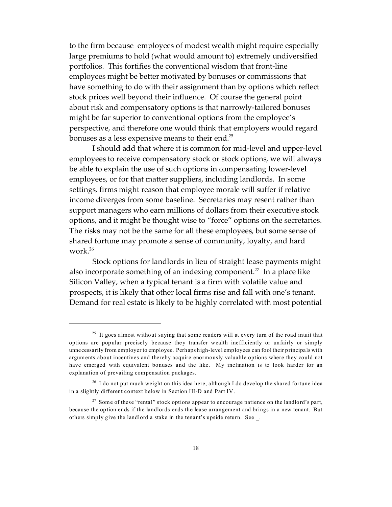to the firm because employees of modest wealth might require especially large premiums to hold (what would amount to) extremely undiversified portfolios. This fortifies the conventional wisdom that front-line employees might be better motivated by bonuses or commissions that have something to do with their assignment than by options which reflect stock prices well beyond their influence. Of course the general point about risk and compensatory options is that narrowly-tailored bonuses might be far superior to conventional options from the employee's perspective, and therefore one would think that employers would regard bonuses as a less expensive means to their end.<sup>25</sup>

I should add that where it is common for mid-level and upper-level employees to receive compensatory stock or stock options, we will always be able to explain the use of such options in compensating lower-level employees, or for that matter suppliers, including landlords. In some settings, firms might reason that employee morale will suffer if relative income diverges from some baseline. Secretaries may resent rather than support managers who earn millions of dollars from their executive stock options, and it might be thought wise to "force" options on the secretaries. The risks may not be the same for all these employees, but some sense of shared fortune may promote a sense of community, loyalty, and hard work.<sup>26</sup>

Stock options for landlords in lieu of straight lease payments might also incorporate something of an indexing component.<sup>27</sup> In a place like Silicon Valley, when a typical tenant is a firm with volatile value and prospects, it is likely that other local firms rise and fall with one's tenant. Demand for real estate is likely to be highly correlated with most potential

 $25$  It goes almost without saying that some readers will at every turn of the road intuit that options are popular precisely because they transfer wealth inefficiently or unfairly or simply unnecessarily from employer to employee. Perhaps high-level employees can fool their principals with arguments about incentives and thereby acquire enormously valuable options where they could not have emerged with equivalent bonuses and the like. My inclination is to look harder for an explanation of prevailing compensation packages.

<sup>&</sup>lt;sup>26</sup> I do not put much weight on this idea here, although I do develop the shared fortune idea in a slightly different context below in Section III-D and Part IV.

 $27$  Some of these "rental" stock options appear to encourage patience on the landlord's part, because the option ends if the landlords ends the lease arrangement and brings in a new tenant. But others simply give the landlord a stake in the tenant's upside return. See \_.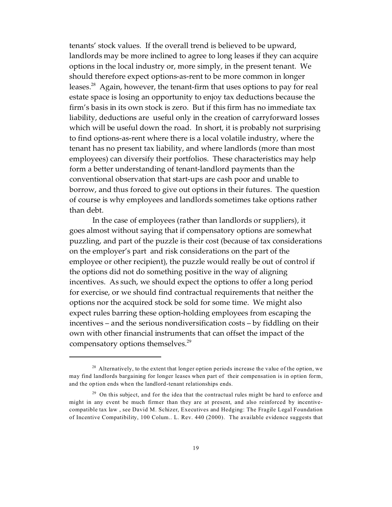tenants' stock values. If the overall trend is believed to be upward, landlords may be more inclined to agree to long leases if they can acquire options in the local industry or, more simply, in the present tenant. We should therefore expect options-as-rent to be more common in longer leases.<sup>28</sup> Again, however, the tenant-firm that uses options to pay for real estate space is losing an opportunity to enjoy tax deductions because the firm's basis in its own stock is zero. But if this firm has no immediate tax liability, deductions are useful only in the creation of carryforward losses which will be useful down the road. In short, it is probably not surprising to find options-as-rent where there is a local volatile industry, where the tenant has no present tax liability, and where landlords (more than most employees) can diversify their portfolios. These characteristics may help form a better understanding of tenant-landlord payments than the conventional observation that start-ups are cash poor and unable to borrow, and thus forced to give out options in their futures. The question of course is why employees and landlords sometimes take options rather than debt.

In the case of employees (rather than landlords or suppliers), it goes almost without saying that if compensatory options are somewhat puzzling, and part of the puzzle is their cost (because of tax considerations on the employer's part and risk considerations on the part of the employee or other recipient), the puzzle would really be out of control if the options did not do something positive in the way of aligning incentives. As such, we should expect the options to offer a long period for exercise, or we should find contractual requirements that neither the options nor the acquired stock be sold for some time. We might also expect rules barring these option-holding employees from escaping the incentives – and the serious nondiversification costs – by fiddling on their own with other financial instruments that can offset the impact of the compensatory options themselves.<sup>29</sup>

 $28$  Alternatively, to the extent that longer option periods increase the value of the option, we may find landlords bargaining for longer leases when part of their compensation is in option form, and the option ends when the landlord-tenant relationships ends.

<sup>&</sup>lt;sup>29</sup> On this subject, and for the idea that the contractual rules might be hard to enforce and might in any event be much firmer than they are at present, and also reinforced by incentivecompatible tax law , see David M. Schizer, Executives and Hedging: The Fragile Legal Foundation of Incentive Compatibility, 100 Colum.. L. Rev. 440 (2000). The available evidence suggests that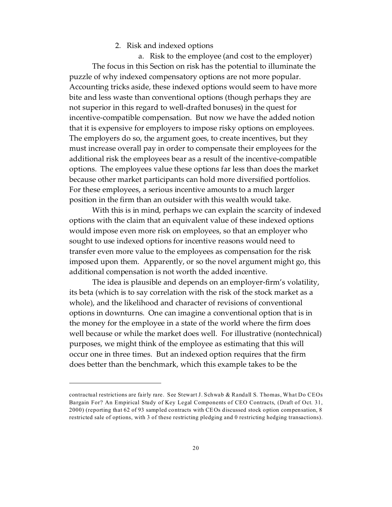#### 2. Risk and indexed options

a. Risk to the employee (and cost to the employer) The focus in this Section on risk has the potential to illuminate the puzzle of why indexed compensatory options are not more popular. Accounting tricks aside, these indexed options would seem to have more bite and less waste than conventional options (though perhaps they are not superior in this regard to well-drafted bonuses) in the quest for incentive-compatible compensation. But now we have the added notion that it is expensive for employers to impose risky options on employees. The employers do so, the argument goes, to create incentives, but they must increase overall pay in order to compensate their employees for the additional risk the employees bear as a result of the incentive-compatible options. The employees value these options far less than does the market because other market participants can hold more diversified portfolios. For these employees, a serious incentive amounts to a much larger position in the firm than an outsider with this wealth would take.

With this is in mind, perhaps we can explain the scarcity of indexed options with the claim that an equivalent value of these indexed options would impose even more risk on employees, so that an employer who sought to use indexed options for incentive reasons would need to transfer even more value to the employees as compensation for the risk imposed upon them. Apparently, or so the novel argument might go, this additional compensation is not worth the added incentive.

The idea is plausible and depends on an employer-firm's volatility, its beta (which is to say correlation with the risk of the stock market as a whole), and the likelihood and character of revisions of conventional options in downturns. One can imagine a conventional option that is in the money for the employee in a state of the world where the firm does well because or while the market does well. For illustrative (nontechnical) purposes, we might think of the employee as estimating that this will occur one in three times. But an indexed option requires that the firm does better than the benchmark, which this example takes to be the

contractual restrictions are fairly rare. See Stewart J. Schwab & Randall S. Thomas, What Do CEOs Bargain For? An Empirical Study of Key Legal Components of CEO Contracts, (Draft of Oct. 31, 2000) (reporting that 62 of 93 sampled contracts with CEOs discussed stock option compensation, 8 restricted sale of options, with 3 of these restricting pledging and 0 restricting hedging transactions).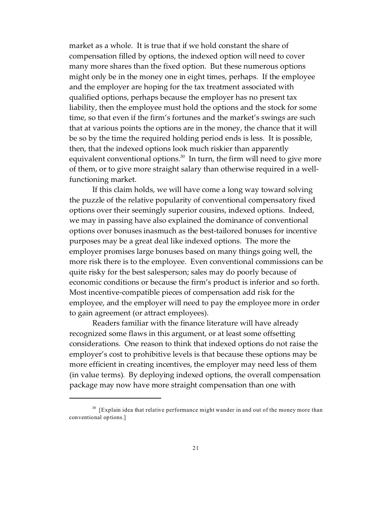market as a whole. It is true that if we hold constant the share of compensation filled by options, the indexed option will need to cover many more shares than the fixed option. But these numerous options might only be in the money one in eight times, perhaps. If the employee and the employer are hoping for the tax treatment associated with qualified options, perhaps because the employer has no present tax liability, then the employee must hold the options and the stock for some time, so that even if the firm's fortunes and the market's swings are such that at various points the options are in the money, the chance that it will be so by the time the required holding period ends is less. It is possible, then, that the indexed options look much riskier than apparently equivalent conventional options. $30 \text{ In turn, the firm will need to give more}$ of them, or to give more straight salary than otherwise required in a wellfunctioning market.

If this claim holds, we will have come a long way toward solving the puzzle of the relative popularity of conventional compensatory fixed options over their seemingly superior cousins, indexed options. Indeed, we may in passing have also explained the dominance of conventional options over bonuses inasmuch as the best-tailored bonuses for incentive purposes may be a great deal like indexed options. The more the employer promises large bonuses based on many things going well, the more risk there is to the employee. Even conventional commissions can be quite risky for the best salesperson; sales may do poorly because of economic conditions or because the firm's product is inferior and so forth. Most incentive-compatible pieces of compensation add risk for the employee, and the employer will need to pay the employee more in order to gain agreement (or attract employees).

Readers familiar with the finance literature will have already recognized some flaws in this argument, or at least some offsetting considerations. One reason to think that indexed options do not raise the employer's cost to prohibitive levels is that because these options may be more efficient in creating incentives, the employer may need less of them (in value terms). By deploying indexed options, the overall compensation package may now have more straight compensation than one with

<sup>&</sup>lt;sup>30</sup> [Explain idea that relative performance might wander in and out of the money more than conventional options.]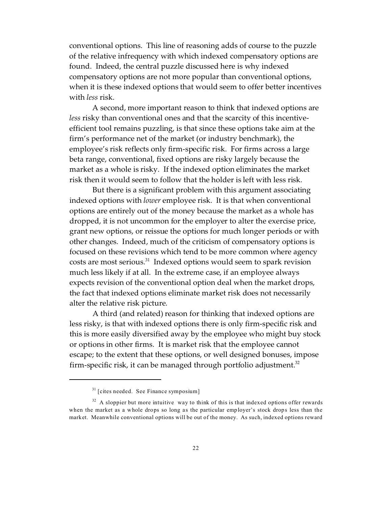conventional options. This line of reasoning adds of course to the puzzle of the relative infrequency with which indexed compensatory options are found. Indeed, the central puzzle discussed here is why indexed compensatory options are not more popular than conventional options, when it is these indexed options that would seem to offer better incentives with *less* risk.

A second, more important reason to think that indexed options are *less* risky than conventional ones and that the scarcity of this incentiveefficient tool remains puzzling, is that since these options take aim at the firm's performance net of the market (or industry benchmark), the employee's risk reflects only firm-specific risk. For firms across a large beta range, conventional, fixed options are risky largely because the market as a whole is risky. If the indexed option eliminates the market risk then it would seem to follow that the holder is left with less risk.

But there is a significant problem with this argument associating indexed options with *lower* employee risk. It is that when conventional options are entirely out of the money because the market as a whole has dropped, it is not uncommon for the employer to alter the exercise price, grant new options, or reissue the options for much longer periods or with other changes. Indeed, much of the criticism of compensatory options is focused on these revisions which tend to be more common where agency costs are most serious.<sup>31</sup> Indexed options would seem to spark revision much less likely if at all. In the extreme case, if an employee always expects revision of the conventional option deal when the market drops, the fact that indexed options eliminate market risk does not necessarily alter the relative risk picture.

A third (and related) reason for thinking that indexed options are less risky, is that with indexed options there is only firm-specific risk and this is more easily diversified away by the employee who might buy stock or options in other firms. It is market risk that the employee cannot escape; to the extent that these options, or well designed bonuses, impose firm-specific risk, it can be managed through portfolio adjustment. $32$ 

<sup>&</sup>lt;sup>31</sup> [cites needed. See Finance symposium]

<sup>&</sup>lt;sup>32</sup> A sloppier but more intuitive way to think of this is that indexed options offer rewards when the market as a whole drops so long as the particular employer's stock drops less than the market. Meanwhile conventional options will be out of the money. As such, indexed options reward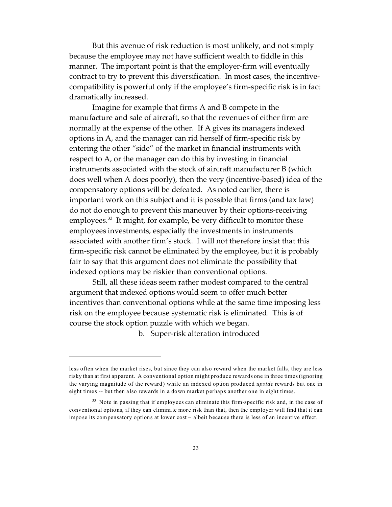But this avenue of risk reduction is most unlikely, and not simply because the employee may not have sufficient wealth to fiddle in this manner. The important point is that the employer-firm will eventually contract to try to prevent this diversification. In most cases, the incentivecompatibility is powerful only if the employee's firm-specific risk is in fact dramatically increased.

Imagine for example that firms A and B compete in the manufacture and sale of aircraft, so that the revenues of either firm are normally at the expense of the other. If A gives its managers indexed options in A, and the manager can rid herself of firm-specific risk by entering the other "side" of the market in financial instruments with respect to A, or the manager can do this by investing in financial instruments associated with the stock of aircraft manufacturer B (which does well when A does poorly), then the very (incentive-based) idea of the compensatory options will be defeated. As noted earlier, there is important work on this subject and it is possible that firms (and tax law) do not do enough to prevent this maneuver by their options-receiving employees. $^{33}$  It might, for example, be very difficult to monitor these employees investments, especially the investments in instruments associated with another firm's stock. I will not therefore insist that this firm-specific risk cannot be eliminated by the employee, but it is probably fair to say that this argument does not eliminate the possibility that indexed options may be riskier than conventional options.

Still, all these ideas seem rather modest compared to the central argument that indexed options would seem to offer much better incentives than conventional options while at the same time imposing less risk on the employee because systematic risk is eliminated. This is of course the stock option puzzle with which we began.

b. Super-risk alteration introduced

less often when the market rises, but since they can also reward when the market falls, they are less risky than at first apparent. A conventional option might produce rewards one in three times (ignoring the varying magnitude of the reward) while an indexed option produced *upside* rewards but one in eight times -- but then also rewards in a down market perhaps another one in eight times.

<sup>&</sup>lt;sup>33</sup> Note in passing that if employees can eliminate this firm-specific risk and, in the case of conventional options, if they can eliminate more risk than that, then the employer will find that it can impose its compensatory options at lower cost – albeit because there is less of an incentive effect.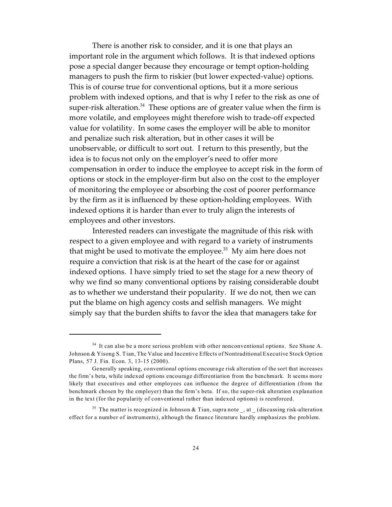There is another risk to consider, and it is one that plays an important role in the argument which follows. It is that indexed options pose a special danger because they encourage or tempt option-holding managers to push the firm to riskier (but lower expected-value) options. This is of course true for conventional options, but it a more serious problem with indexed options, and that is why I refer to the risk as one of super-risk alteration. $34$  These options are of greater value when the firm is more volatile, and employees might therefore wish to trade-off expected value for volatility. In some cases the employer will be able to monitor and penalize such risk alteration, but in other cases it will be unobservable, or difficult to sort out. I return to this presently, but the idea is to focus not only on the employer's need to offer more compensation in order to induce the employee to accept risk in the form of options or stock in the employer-firm but also on the cost to the employer of monitoring the employee or absorbing the cost of poorer performance by the firm as it is influenced by these option-holding employees. With indexed options it is harder than ever to truly align the interests of employees and other investors.

Interested readers can investigate the magnitude of this risk with respect to a given employee and with regard to a variety of instruments that might be used to motivate the employee. $35$  My aim here does not require a conviction that risk is at the heart of the case for or against indexed options. I have simply tried to set the stage for a new theory of why we find so many conventional options by raising considerable doubt as to whether we understand their popularity. If we do not, then we can put the blame on high agency costs and selfish managers. We might simply say that the burden shifts to favor the idea that managers take for

 $34$  It can also be a more serious problem with other nonconventional options. See Shane A. Johnson & Yisong S. Tian, The Value and Incentive Effects of Nontraditional Executive Stock Option Plans, 57 J. Fin. Econ. 3, 13-15 (2000).

Generally speaking, conventional options encourage risk alteration of the sort that increases the firm's beta, while indexed options encourage differentiation from the benchmark. It seems more likely that executives and other employees can influence the degree of differentiation (from the benchmark chosen by the employer) than the firm's beta. If so, the super-risk alteration explanation in the text (for the popularity of conventional rather than indexed options) is reenforced.

<sup>&</sup>lt;sup>35</sup> The matter is recognized in Johnson & Tian, supra note \_, at \_ (discussing risk-alteration effect for a number of instruments), although the finance literature hardly emphasizes the problem.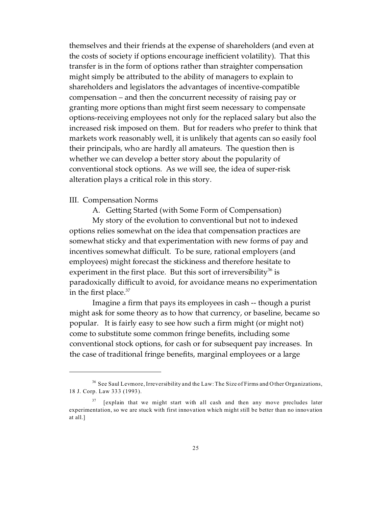themselves and their friends at the expense of shareholders (and even at the costs of society if options encourage inefficient volatility). That this transfer is in the form of options rather than straighter compensation might simply be attributed to the ability of managers to explain to shareholders and legislators the advantages of incentive-compatible compensation – and then the concurrent necessity of raising pay or granting more options than might first seem necessary to compensate options-receiving employees not only for the replaced salary but also the increased risk imposed on them. But for readers who prefer to think that markets work reasonably well, it is unlikely that agents can so easily fool their principals, who are hardly all amateurs. The question then is whether we can develop a better story about the popularity of conventional stock options. As we will see, the idea of super-risk alteration plays a critical role in this story.

#### III. Compensation Norms

A. Getting Started (with Some Form of Compensation)

My story of the evolution to conventional but not to indexed options relies somewhat on the idea that compensation practices are somewhat sticky and that experimentation with new forms of pay and incentives somewhat difficult. To be sure, rational employers (and employees) might forecast the stickiness and therefore hesitate to experiment in the first place. But this sort of irreversibility<sup>36</sup> is paradoxically difficult to avoid, for avoidance means no experimentation in the first place.<sup>37</sup>

Imagine a firm that pays its employees in cash -- though a purist might ask for some theory as to how that currency, or baseline, became so popular. It is fairly easy to see how such a firm might (or might not) come to substitute some common fringe benefits, including some conventional stock options, for cash or for subsequent pay increases. In the case of traditional fringe benefits, marginal employees or a large

<sup>&</sup>lt;sup>36</sup> See Saul Levmore, Irreversibility and the Law: The Size of Firms and Other Organizations, 18 J. Corp. Law 333 (1993).

 $37$  [explain that we might start with all cash and then any move precludes later experimentation, so we are stuck with first innovation which might still be better than no innovation at all.]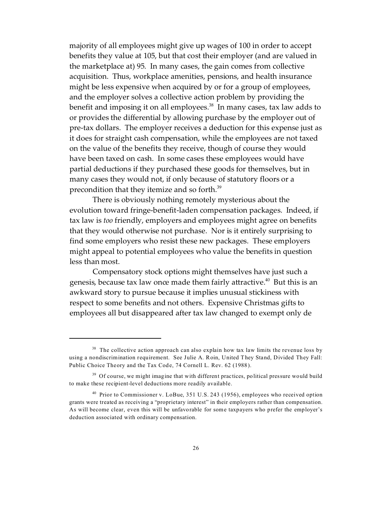majority of all employees might give up wages of 100 in order to accept benefits they value at 105, but that cost their employer (and are valued in the marketplace at) 95. In many cases, the gain comes from collective acquisition. Thus, workplace amenities, pensions, and health insurance might be less expensive when acquired by or for a group of employees, and the employer solves a collective action problem by providing the benefit and imposing it on all employees. $38$  In many cases, tax law adds to or provides the differential by allowing purchase by the employer out of pre-tax dollars. The employer receives a deduction for this expense just as it does for straight cash compensation, while the employees are not taxed on the value of the benefits they receive, though of course they would have been taxed on cash. In some cases these employees would have partial deductions if they purchased these goods for themselves, but in many cases they would not, if only because of statutory floors or a precondition that they itemize and so forth.<sup>39</sup>

There is obviously nothing remotely mysterious about the evolution toward fringe-benefit-laden compensation packages. Indeed, if tax law is *too* friendly, employers and employees might agree on benefits that they would otherwise not purchase. Nor is it entirely surprising to find some employers who resist these new packages. These employers might appeal to potential employees who value the benefits in question less than most.

Compensatory stock options might themselves have just such a genesis, because tax law once made them fairly attractive.<sup>40</sup> But this is an awkward story to pursue because it implies unusual stickiness with respect to some benefits and not others. Expensive Christmas gifts to employees all but disappeared after tax law changed to exempt only de

 $38$  The collective action approach can also explain how tax law limits the revenue loss by using a nondiscrimination requirement. See Julie A. Roin, United They Stand, Divided They Fall: Public Choice Theory and the Tax Code, 74 Cornell L. Rev. 62 (1988).

<sup>&</sup>lt;sup>39</sup> Of course, we might imagine that with different practices, political pressure would build to make these recipient-level deductions more readily available.

<sup>40</sup> Prior to Commissioner v. LoBue, 351 U.S. 243 (1956), employees who received option grants were treated as receiving a "proprietary interest" in their employers rather than compensation. As will become clear, even this will be unfavorable for some taxpayers who prefer the employer's deduction associated with ordinary compensation.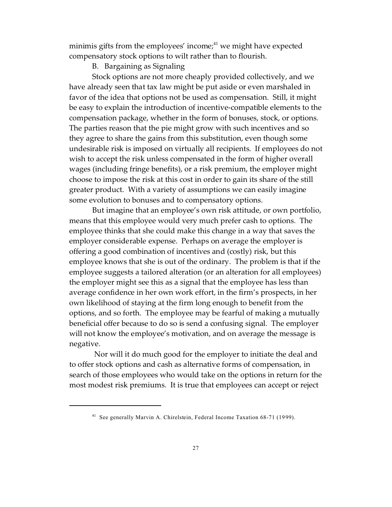minimis gifts from the employees' income; $4<sup>1</sup>$  we might have expected compensatory stock options to wilt rather than to flourish.

B. Bargaining as Signaling

Stock options are not more cheaply provided collectively, and we have already seen that tax law might be put aside or even marshaled in favor of the idea that options not be used as compensation. Still, it might be easy to explain the introduction of incentive-compatible elements to the compensation package, whether in the form of bonuses, stock, or options. The parties reason that the pie might grow with such incentives and so they agree to share the gains from this substitution, even though some undesirable risk is imposed on virtually all recipients. If employees do not wish to accept the risk unless compensated in the form of higher overall wages (including fringe benefits), or a risk premium, the employer might choose to impose the risk at this cost in order to gain its share of the still greater product. With a variety of assumptions we can easily imagine some evolution to bonuses and to compensatory options.

But imagine that an employee's own risk attitude, or own portfolio, means that this employee would very much prefer cash to options. The employee thinks that she could make this change in a way that saves the employer considerable expense. Perhaps on average the employer is offering a good combination of incentives and (costly) risk, but this employee knows that she is out of the ordinary. The problem is that if the employee suggests a tailored alteration (or an alteration for all employees) the employer might see this as a signal that the employee has less than average confidence in her own work effort, in the firm's prospects, in her own likelihood of staying at the firm long enough to benefit from the options, and so forth. The employee may be fearful of making a mutually beneficial offer because to do so is send a confusing signal. The employer will not know the employee's motivation, and on average the message is negative.

 Nor will it do much good for the employer to initiate the deal and to offer stock options and cash as alternative forms of compensation, in search of those employees who would take on the options in return for the most modest risk premiums. It is true that employees can accept or reject

<sup>41</sup> See generally Marvin A. Chirelstein, Federal Income Taxation 68-71 (1999).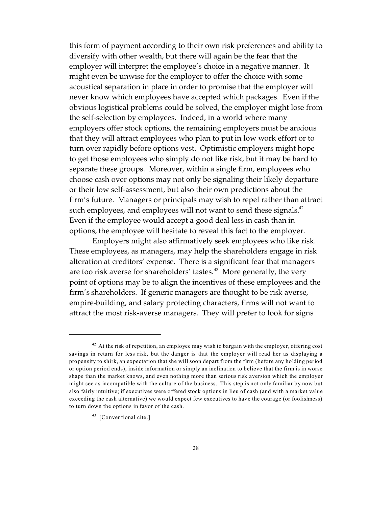this form of payment according to their own risk preferences and ability to diversify with other wealth, but there will again be the fear that the employer will interpret the employee's choice in a negative manner. It might even be unwise for the employer to offer the choice with some acoustical separation in place in order to promise that the employer will never know which employees have accepted which packages. Even if the obvious logistical problems could be solved, the employer might lose from the self-selection by employees. Indeed, in a world where many employers offer stock options, the remaining employers must be anxious that they will attract employees who plan to put in low work effort or to turn over rapidly before options vest. Optimistic employers might hope to get those employees who simply do not like risk, but it may be hard to separate these groups. Moreover, within a single firm, employees who choose cash over options may not only be signaling their likely departure or their low self-assessment, but also their own predictions about the firm's future. Managers or principals may wish to repel rather than attract such employees, and employees will not want to send these signals. $42$ Even if the employee would accept a good deal less in cash than in options, the employee will hesitate to reveal this fact to the employer.

Employers might also affirmatively seek employees who like risk. These employees, as managers, may help the shareholders engage in risk alteration at creditors' expense. There is a significant fear that managers are too risk averse for shareholders' tastes.<sup>43</sup> More generally, the very point of options may be to align the incentives of these employees and the firm's shareholders. If generic managers are thought to be risk averse, empire-building, and salary protecting characters, firms will not want to attract the most risk-averse managers. They will prefer to look for signs

 $42$  At the risk of repetition, an employee may wish to bargain with the employer, offering cost savings in return for less risk, but the danger is that the employer will read her as displaying a propensity to shirk, an expectation that she will soon depart from the firm (before any holding period or option period ends), inside information or simply an inclination to believe that the firm is in worse shape than the market knows, and even nothing more than serious risk aversion which the employer might see as incompatible with the culture of the business. This step is not only familiar by now but also fairly intuitive; if executives were offered stock options in lieu of cash (and with a market value exceeding the cash alternative) we would expect few executives to have the courage (or foolishness) to turn down the options in favor of the cash.

<sup>&</sup>lt;sup>43</sup> [Conventional cite.]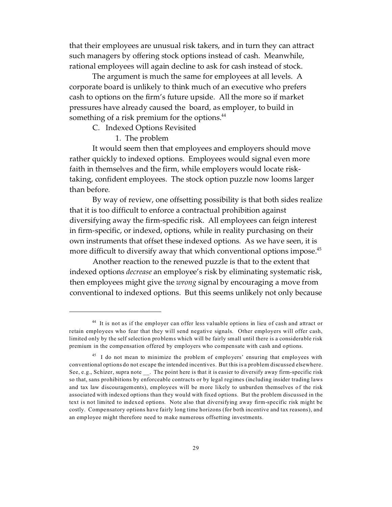that their employees are unusual risk takers, and in turn they can attract such managers by offering stock options instead of cash. Meanwhile, rational employees will again decline to ask for cash instead of stock.

The argument is much the same for employees at all levels. A corporate board is unlikely to think much of an executive who prefers cash to options on the firm's future upside. All the more so if market pressures have already caused the board, as employer, to build in something of a risk premium for the options.<sup>44</sup>

#### C. Indexed Options Revisited

1. The problem

It would seem then that employees and employers should move rather quickly to indexed options. Employees would signal even more faith in themselves and the firm, while employers would locate risktaking, confident employees. The stock option puzzle now looms larger than before.

By way of review, one offsetting possibility is that both sides realize that it is too difficult to enforce a contractual prohibition against diversifying away the firm-specific risk. All employees can feign interest in firm-specific, or indexed, options, while in reality purchasing on their own instruments that offset these indexed options. As we have seen, it is more difficult to diversify away that which conventional options impose.<sup>45</sup>

Another reaction to the renewed puzzle is that to the extent that indexed options *decrease* an employee's risk by eliminating systematic risk, then employees might give the *wrong* signal by encouraging a move from conventional to indexed options. But this seems unlikely not only because

<sup>&</sup>lt;sup>44</sup> It is not as if the employer can offer less valuable options in lieu of cash and attract or retain employees who fear that they will send negative signals. Other employers will offer cash, limited only by the self selection problems which will be fairly small until there is a considerable risk premium in the compensation offered by employers who compensate with cash and options.

<sup>&</sup>lt;sup>45</sup> I do not mean to minimize the problem of employers' ensuring that employees with conventional options do not escape the intended incentives. But this is a problem discussed elsewhere. See, e.g., Schizer, supra note \_\_. The point here is that it is easier to diversify away firm-specific risk so that, sans prohibitions by enforceable contracts or by legal regimes (including insider trading laws and tax law discouragements), employees will be more likely to unburden themselves of the risk associated with indexed options than they would with fixed options. But the problem discussed in the text is not limited to indexed options. Note also that diversifying away firm-specific risk might be costly. Compensatory options have fairly long time horizons (for both incentive and tax reasons), and an employee might therefore need to make numerous offsetting investments.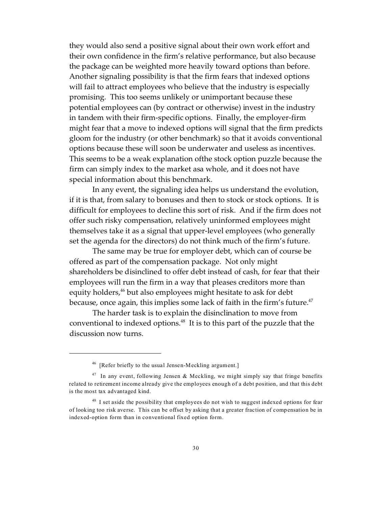they would also send a positive signal about their own work effort and their own confidence in the firm's relative performance, but also because the package can be weighted more heavily toward options than before. Another signaling possibility is that the firm fears that indexed options will fail to attract employees who believe that the industry is especially promising. This too seems unlikely or unimportant because these potential employees can (by contract or otherwise) invest in the industry in tandem with their firm-specific options. Finally, the employer-firm might fear that a move to indexed options will signal that the firm predicts gloom for the industry (or other benchmark) so that it avoids conventional options because these will soon be underwater and useless as incentives. This seems to be a weak explanation ofthe stock option puzzle because the firm can simply index to the market asa whole, and it does not have special information about this benchmark.

In any event, the signaling idea helps us understand the evolution, if it is that, from salary to bonuses and then to stock or stock options. It is difficult for employees to decline this sort of risk. And if the firm does not offer such risky compensation, relatively uninformed employees might themselves take it as a signal that upper-level employees (who generally set the agenda for the directors) do not think much of the firm's future.

The same may be true for employer debt, which can of course be offered as part of the compensation package. Not only might shareholders be disinclined to offer debt instead of cash, for fear that their employees will run the firm in a way that pleases creditors more than equity holders,<sup>46</sup> but also employees might hesitate to ask for debt because, once again, this implies some lack of faith in the firm's future.<sup>47</sup>

The harder task is to explain the disinclination to move from conventional to indexed options.<sup>48</sup> It is to this part of the puzzle that the discussion now turns.

<sup>46</sup> [Refer briefly to the usual Jensen-Meckling argument.]

<sup>&</sup>lt;sup>47</sup> In any event, following Jensen & Meckling, we might simply say that fringe benefits related to retirement income already give the employees enough of a debt position, and that this debt is the most tax advantaged kind.

<sup>&</sup>lt;sup>48</sup> I set aside the possibility that employees do not wish to suggest indexed options for fear of looking too risk averse. This can be offset by asking that a greater fraction of compensation be in indexed-option form than in conventional fixed option form.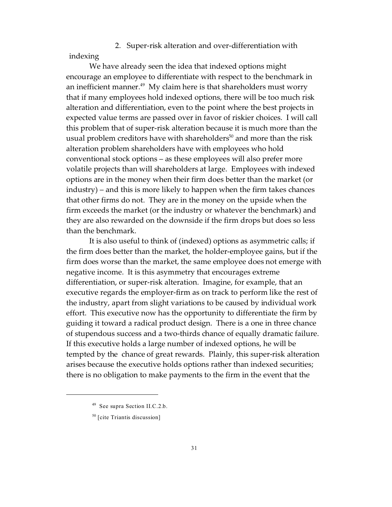#### 2. Super-risk alteration and over-differentiation with indexing

We have already seen the idea that indexed options might encourage an employee to differentiate with respect to the benchmark in an inefficient manner.<sup>49</sup> My claim here is that shareholders must worry that if many employees hold indexed options, there will be too much risk alteration and differentiation, even to the point where the best projects in expected value terms are passed over in favor of riskier choices. I will call this problem that of super-risk alteration because it is much more than the usual problem creditors have with shareholders<sup>50</sup> and more than the risk alteration problem shareholders have with employees who hold conventional stock options – as these employees will also prefer more volatile projects than will shareholders at large. Employees with indexed options are in the money when their firm does better than the market (or industry) – and this is more likely to happen when the firm takes chances that other firms do not. They are in the money on the upside when the firm exceeds the market (or the industry or whatever the benchmark) and they are also rewarded on the downside if the firm drops but does so less than the benchmark.

It is also useful to think of (indexed) options as asymmetric calls; if the firm does better than the market, the holder-employee gains, but if the firm does worse than the market, the same employee does not emerge with negative income. It is this asymmetry that encourages extreme differentiation, or super-risk alteration. Imagine, for example, that an executive regards the employer-firm as on track to perform like the rest of the industry, apart from slight variations to be caused by individual work effort. This executive now has the opportunity to differentiate the firm by guiding it toward a radical product design. There is a one in three chance of stupendous success and a two-thirds chance of equally dramatic failure. If this executive holds a large number of indexed options, he will be tempted by the chance of great rewards. Plainly, this super-risk alteration arises because the executive holds options rather than indexed securities; there is no obligation to make payments to the firm in the event that the

<sup>49</sup> See supra Section II.C.2.b.

<sup>50</sup> [cite Triantis discussion]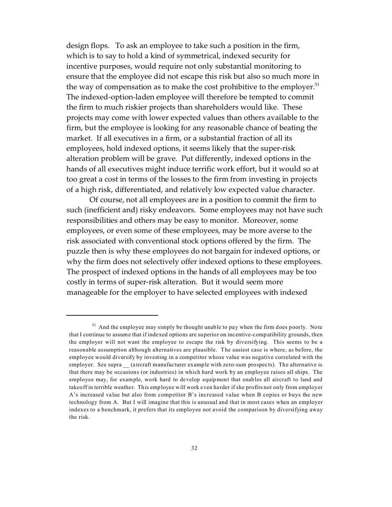design flops. To ask an employee to take such a position in the firm, which is to say to hold a kind of symmetrical, indexed security for incentive purposes, would require not only substantial monitoring to ensure that the employee did not escape this risk but also so much more in the way of compensation as to make the cost prohibitive to the employer.<sup>51</sup> The indexed-option-laden employee will therefore be tempted to commit the firm to much riskier projects than shareholders would like. These projects may come with lower expected values than others available to the firm, but the employee is looking for any reasonable chance of beating the market. If all executives in a firm, or a substantial fraction of all its employees, hold indexed options, it seems likely that the super-risk alteration problem will be grave. Put differently, indexed options in the hands of all executives might induce terrific work effort, but it would so at too great a cost in terms of the losses to the firm from investing in projects of a high risk, differentiated, and relatively low expected value character.

Of course, not all employees are in a position to commit the firm to such (inefficient and) risky endeavors. Some employees may not have such responsibilities and others may be easy to monitor. Moreover, some employees, or even some of these employees, may be more averse to the risk associated with conventional stock options offered by the firm. The puzzle then is why these employees do not bargain for indexed options, or why the firm does not selectively offer indexed options to these employees. The prospect of indexed options in the hands of all employees may be too costly in terms of super-risk alteration. But it would seem more manageable for the employer to have selected employees with indexed

 $51$  And the employee may simply be thought unable to pay when the firm does poorly. Note that I continue to assume that if indexed options are superior on incentive-compatibility grounds, then the employer will not want the employee to escape the risk by diversifying. This seems to be a reasonable assumption although alternatives are plausible. The easiest case is where, as before, the employee would diversify by investing in a competitor whose value was negative correlated with the employer. See supra (aircraft manufacturer example with zero-sum prospects). The alternative is that there may be occasions (or industries) in which hard work by an employee raises all ships. The employee may, for example, work hard to develop equipment that enables all aircraft to land and takeoff in terrible weather. This employee will work even harder if she profits not only from employer A's increased value but also from competitor B's increased value when B copies or buys the new technology from A. But I will imagine that this is unusual and that in most cases when an employer indexes to a benchmark, it prefers that its employee not avoid the comparison by diversifying away the risk.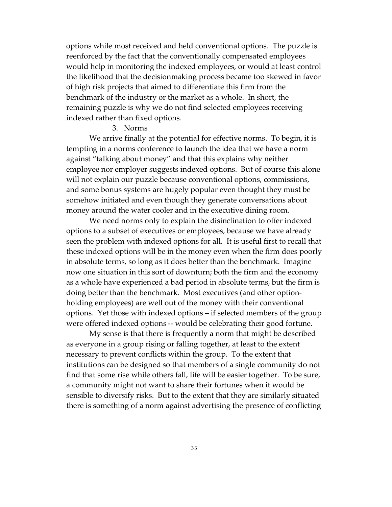options while most received and held conventional options. The puzzle is reenforced by the fact that the conventionally compensated employees would help in monitoring the indexed employees, or would at least control the likelihood that the decisionmaking process became too skewed in favor of high risk projects that aimed to differentiate this firm from the benchmark of the industry or the market as a whole. In short, the remaining puzzle is why we do not find selected employees receiving indexed rather than fixed options.

#### 3. Norms

We arrive finally at the potential for effective norms. To begin, it is tempting in a norms conference to launch the idea that we have a norm against "talking about money" and that this explains why neither employee nor employer suggests indexed options. But of course this alone will not explain our puzzle because conventional options, commissions, and some bonus systems are hugely popular even thought they must be somehow initiated and even though they generate conversations about money around the water cooler and in the executive dining room.

We need norms only to explain the disinclination to offer indexed options to a subset of executives or employees, because we have already seen the problem with indexed options for all. It is useful first to recall that these indexed options will be in the money even when the firm does poorly in absolute terms, so long as it does better than the benchmark. Imagine now one situation in this sort of downturn; both the firm and the economy as a whole have experienced a bad period in absolute terms, but the firm is doing better than the benchmark. Most executives (and other optionholding employees) are well out of the money with their conventional options. Yet those with indexed options – if selected members of the group were offered indexed options -- would be celebrating their good fortune.

My sense is that there is frequently a norm that might be described as everyone in a group rising or falling together, at least to the extent necessary to prevent conflicts within the group. To the extent that institutions can be designed so that members of a single community do not find that some rise while others fall, life will be easier together. To be sure, a community might not want to share their fortunes when it would be sensible to diversify risks. But to the extent that they are similarly situated there is something of a norm against advertising the presence of conflicting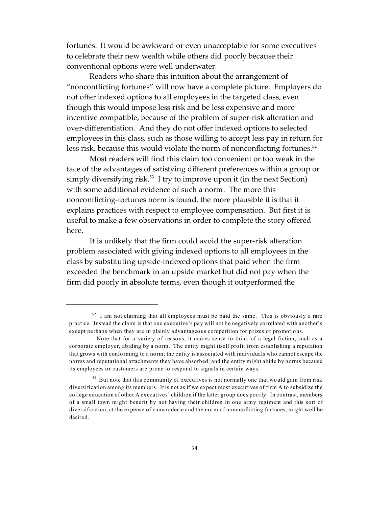fortunes. It would be awkward or even unacceptable for some executives to celebrate their new wealth while others did poorly because their conventional options were well underwater.

Readers who share this intuition about the arrangement of "nonconflicting fortunes" will now have a complete picture. Employers do not offer indexed options to all employees in the targeted class, even though this would impose less risk and be less expensive and more incentive compatible, because of the problem of super-risk alteration and over-differentiation. And they do not offer indexed options to selected employees in this class, such as those willing to accept less pay in return for less risk, because this would violate the norm of nonconflicting fortunes.<sup>52</sup>

Most readers will find this claim too convenient or too weak in the face of the advantages of satisfying different preferences within a group or simply diversifying risk.<sup>53</sup> I try to improve upon it (in the next Section) with some additional evidence of such a norm. The more this nonconflicting-fortunes norm is found, the more plausible it is that it explains practices with respect to employee compensation. But first it is useful to make a few observations in order to complete the story offered here.

It is unlikely that the firm could avoid the super-risk alteration problem associated with giving indexed options to all employees in the class by substituting upside-indexed options that paid when the firm exceeded the benchmark in an upside market but did not pay when the firm did poorly in absolute terms, even though it outperformed the

 $52$  I am not claiming that all employees must be paid the same. This is obviously a rare practice. Instead the claim is that one executive's pay will not be negatively correlated with another's except perhaps when they are in plainly advantageous competition for prizes or promotions.

Note that for a variety of reasons, it makes sense to think of a legal fiction, such as a corporate employer, abiding by a norm. The entity might itself profit from establishing a reputation that grows with conforming to a norm; the entity is associated with individuals who cannot escape the norms and reputational attachments they have absorbed; and the entity might abide by norms because its employees or customers are prone to respond to signals in certain ways.

<sup>&</sup>lt;sup>53</sup> But note that this community of executives is not normally one that would gain from risk diversification among its members. It is not as if we expect most executives of firm A to subsidize the college education of other A executives' children if the latter group does poorly. In contrast, members of a small town might benefit by not having their children in one army regiment and this sort of diversification, at the expense of camaraderie and the norm of nonconflicting fortunes, might well be desired.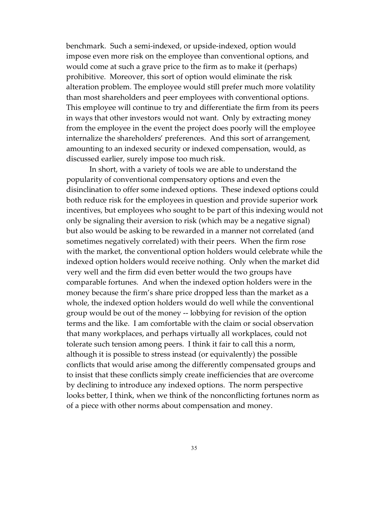benchmark. Such a semi-indexed, or upside-indexed, option would impose even more risk on the employee than conventional options, and would come at such a grave price to the firm as to make it (perhaps) prohibitive. Moreover, this sort of option would eliminate the risk alteration problem. The employee would still prefer much more volatility than most shareholders and peer employees with conventional options. This employee will continue to try and differentiate the firm from its peers in ways that other investors would not want. Only by extracting money from the employee in the event the project does poorly will the employee internalize the shareholders' preferences. And this sort of arrangement, amounting to an indexed security or indexed compensation, would, as discussed earlier, surely impose too much risk.

In short, with a variety of tools we are able to understand the popularity of conventional compensatory options and even the disinclination to offer some indexed options. These indexed options could both reduce risk for the employees in question and provide superior work incentives, but employees who sought to be part of this indexing would not only be signaling their aversion to risk (which may be a negative signal) but also would be asking to be rewarded in a manner not correlated (and sometimes negatively correlated) with their peers. When the firm rose with the market, the conventional option holders would celebrate while the indexed option holders would receive nothing. Only when the market did very well and the firm did even better would the two groups have comparable fortunes. And when the indexed option holders were in the money because the firm's share price dropped less than the market as a whole, the indexed option holders would do well while the conventional group would be out of the money -- lobbying for revision of the option terms and the like. I am comfortable with the claim or social observation that many workplaces, and perhaps virtually all workplaces, could not tolerate such tension among peers. I think it fair to call this a norm, although it is possible to stress instead (or equivalently) the possible conflicts that would arise among the differently compensated groups and to insist that these conflicts simply create inefficiencies that are overcome by declining to introduce any indexed options. The norm perspective looks better, I think, when we think of the nonconflicting fortunes norm as of a piece with other norms about compensation and money.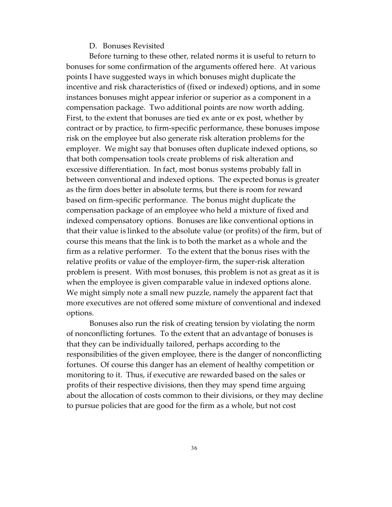#### D. Bonuses Revisited

Before turning to these other, related norms it is useful to return to bonuses for some confirmation of the arguments offered here. At various points I have suggested ways in which bonuses might duplicate the incentive and risk characteristics of (fixed or indexed) options, and in some instances bonuses might appear inferior or superior as a component in a compensation package. Two additional points are now worth adding. First, to the extent that bonuses are tied ex ante or ex post, whether by contract or by practice, to firm-specific performance, these bonuses impose risk on the employee but also generate risk alteration problems for the employer. We might say that bonuses often duplicate indexed options, so that both compensation tools create problems of risk alteration and excessive differentiation. In fact, most bonus systems probably fall in between conventional and indexed options. The expected bonus is greater as the firm does better in absolute terms, but there is room for reward based on firm-specific performance. The bonus might duplicate the compensation package of an employee who held a mixture of fixed and indexed compensatory options. Bonuses are like conventional options in that their value is linked to the absolute value (or profits) of the firm, but of course this means that the link is to both the market as a whole and the firm as a relative performer. To the extent that the bonus rises with the relative profits or value of the employer-firm, the super-risk alteration problem is present. With most bonuses, this problem is not as great as it is when the employee is given comparable value in indexed options alone. We might simply note a small new puzzle, namely the apparent fact that more executives are not offered some mixture of conventional and indexed options.

Bonuses also run the risk of creating tension by violating the norm of nonconflicting fortunes. To the extent that an advantage of bonuses is that they can be individually tailored, perhaps according to the responsibilities of the given employee, there is the danger of nonconflicting fortunes. Of course this danger has an element of healthy competition or monitoring to it. Thus, if executive are rewarded based on the sales or profits of their respective divisions, then they may spend time arguing about the allocation of costs common to their divisions, or they may decline to pursue policies that are good for the firm as a whole, but not cost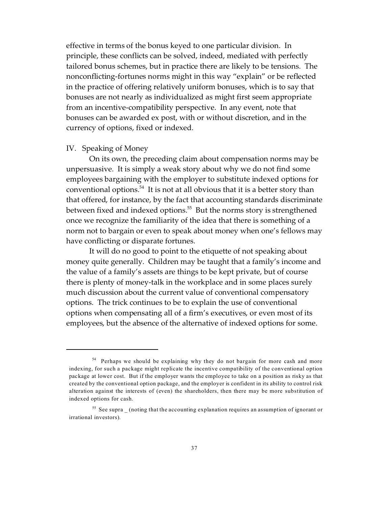effective in terms of the bonus keyed to one particular division. In principle, these conflicts can be solved, indeed, mediated with perfectly tailored bonus schemes, but in practice there are likely to be tensions. The nonconflicting-fortunes norms might in this way "explain" or be reflected in the practice of offering relatively uniform bonuses, which is to say that bonuses are not nearly as individualized as might first seem appropriate from an incentive-compatibility perspective. In any event, note that bonuses can be awarded ex post, with or without discretion, and in the currency of options, fixed or indexed.

#### IV. Speaking of Money

On its own, the preceding claim about compensation norms may be unpersuasive. It is simply a weak story about why we do not find some employees bargaining with the employer to substitute indexed options for conventional options.<sup>54</sup> It is not at all obvious that it is a better story than that offered, for instance, by the fact that accounting standards discriminate between fixed and indexed options.<sup>55</sup> But the norms story is strengthened once we recognize the familiarity of the idea that there is something of a norm not to bargain or even to speak about money when one's fellows may have conflicting or disparate fortunes.

It will do no good to point to the etiquette of not speaking about money quite generally. Children may be taught that a family's income and the value of a family's assets are things to be kept private, but of course there is plenty of money-talk in the workplace and in some places surely much discussion about the current value of conventional compensatory options. The trick continues to be to explain the use of conventional options when compensating all of a firm's executives, or even most of its employees, but the absence of the alternative of indexed options for some.

<sup>&</sup>lt;sup>54</sup> Perhaps we should be explaining why they do not bargain for more cash and more indexing, for such a package might replicate the incentive compatibility of the conventional option package at lower cost. But if the employer wants the employee to take on a position as risky as that created by the conventional option package, and the employer is confident in its ability to control risk alteration against the interests of (even) the shareholders, then there may be more substitution of indexed options for cash.

<sup>&</sup>lt;sup>55</sup> See supra (noting that the accounting explanation requires an assumption of ignorant or irrational investors).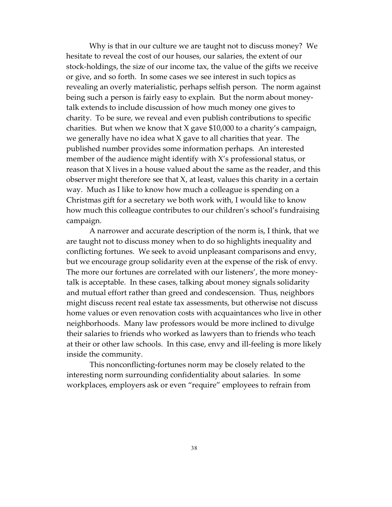Why is that in our culture we are taught not to discuss money? We hesitate to reveal the cost of our houses, our salaries, the extent of our stock-holdings, the size of our income tax, the value of the gifts we receive or give, and so forth. In some cases we see interest in such topics as revealing an overly materialistic, perhaps selfish person. The norm against being such a person is fairly easy to explain. But the norm about moneytalk extends to include discussion of how much money one gives to charity. To be sure, we reveal and even publish contributions to specific charities. But when we know that X gave \$10,000 to a charity's campaign, we generally have no idea what  $X$  gave to all charities that year. The published number provides some information perhaps. An interested member of the audience might identify with X's professional status, or reason that X lives in a house valued about the same as the reader, and this observer might therefore see that X, at least, values this charity in a certain way. Much as I like to know how much a colleague is spending on a Christmas gift for a secretary we both work with, I would like to know how much this colleague contributes to our children's school's fundraising campaign.

A narrower and accurate description of the norm is, I think, that we are taught not to discuss money when to do so highlights inequality and conflicting fortunes. We seek to avoid unpleasant comparisons and envy, but we encourage group solidarity even at the expense of the risk of envy. The more our fortunes are correlated with our listeners', the more moneytalk is acceptable. In these cases, talking about money signals solidarity and mutual effort rather than greed and condescension. Thus, neighbors might discuss recent real estate tax assessments, but otherwise not discuss home values or even renovation costs with acquaintances who live in other neighborhoods. Many law professors would be more inclined to divulge their salaries to friends who worked as lawyers than to friends who teach at their or other law schools. In this case, envy and ill-feeling is more likely inside the community.

This nonconflicting-fortunes norm may be closely related to the interesting norm surrounding confidentiality about salaries. In some workplaces, employers ask or even "require" employees to refrain from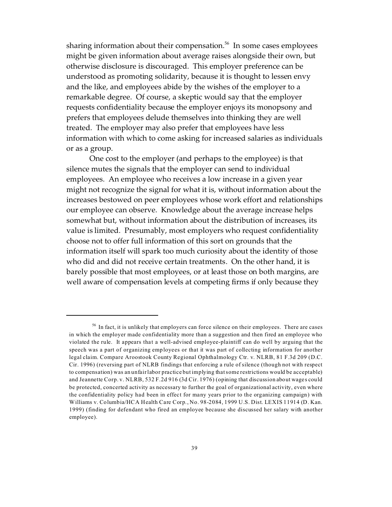sharing information about their compensation.<sup>56</sup> In some cases employees might be given information about average raises alongside their own, but otherwise disclosure is discouraged. This employer preference can be understood as promoting solidarity, because it is thought to lessen envy and the like, and employees abide by the wishes of the employer to a remarkable degree. Of course, a skeptic would say that the employer requests confidentiality because the employer enjoys its monopsony and prefers that employees delude themselves into thinking they are well treated. The employer may also prefer that employees have less information with which to come asking for increased salaries as individuals or as a group.

One cost to the employer (and perhaps to the employee) is that silence mutes the signals that the employer can send to individual employees. An employee who receives a low increase in a given year might not recognize the signal for what it is, without information about the increases bestowed on peer employees whose work effort and relationships our employee can observe. Knowledge about the average increase helps somewhat but, without information about the distribution of increases, its value is limited. Presumably, most employers who request confidentiality choose not to offer full information of this sort on grounds that the information itself will spark too much curiosity about the identity of those who did and did not receive certain treatments. On the other hand, it is barely possible that most employees, or at least those on both margins, are well aware of compensation levels at competing firms if only because they

 $56$  In fact, it is unlikely that employers can force silence on their employees. There are cases in which the employer made confidentiality more than a suggestion and then fired an employee who violated the rule. It appears that a well-advised employee-plaintiff can do well by arguing that the speech was a part of organizing employees or that it was part of collecting information for another legal claim. Compare Aroostook County Regional Ophthalmology Ctr. v. NLRB, 81 F.3d 209 (D.C. Cir. 1996) (reversing part of NLRB findings that enforcing a rule of silence (though not with respect to compensation) was an unfair labor practice but implying that some restrictions would be acceptable) and Jeannette Corp. v. NLRB, 532 F.2d 916 (3d Cir. 1976) (opining that discussion about wages could be protected, concerted activity as necessary to further the goal of organizational activity, even where the confidentiality policy had been in effect for many years prior to the organizing campaign) with Williams v. Columbia/HCA Health Care Corp., No. 98-2084, 1999 U.S. Dist. LEXIS 11914 (D. Kan. 1999) (finding for defendant who fired an employee because she discussed her salary with another employee).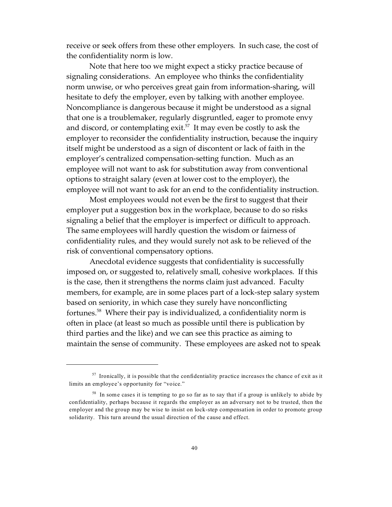receive or seek offers from these other employers. In such case, the cost of the confidentiality norm is low.

Note that here too we might expect a sticky practice because of signaling considerations. An employee who thinks the confidentiality norm unwise, or who perceives great gain from information-sharing, will hesitate to defy the employer, even by talking with another employee. Noncompliance is dangerous because it might be understood as a signal that one is a troublemaker, regularly disgruntled, eager to promote envy and discord, or contemplating exit.<sup>57</sup> It may even be costly to ask the employer to reconsider the confidentiality instruction, because the inquiry itself might be understood as a sign of discontent or lack of faith in the employer's centralized compensation-setting function. Much as an employee will not want to ask for substitution away from conventional options to straight salary (even at lower cost to the employer), the employee will not want to ask for an end to the confidentiality instruction.

Most employees would not even be the first to suggest that their employer put a suggestion box in the workplace, because to do so risks signaling a belief that the employer is imperfect or difficult to approach. The same employees will hardly question the wisdom or fairness of confidentiality rules, and they would surely not ask to be relieved of the risk of conventional compensatory options.

Anecdotal evidence suggests that confidentiality is successfully imposed on, or suggested to, relatively small, cohesive workplaces. If this is the case, then it strengthens the norms claim just advanced. Faculty members, for example, are in some places part of a lock-step salary system based on seniority, in which case they surely have nonconflicting fortunes.<sup>58</sup> Where their pay is individualized, a confidentiality norm is often in place (at least so much as possible until there is publication by third parties and the like) and we can see this practice as aiming to maintain the sense of community. These employees are asked not to speak

<sup>57</sup> Ironically, it is possible that the confidentiality practice increases the chance of exit as it limits an employee's opportunity for "voice."

<sup>&</sup>lt;sup>58</sup> In some cases it is tempting to go so far as to say that if a group is unlikely to abide by confidentiality, perhaps because it regards the employer as an adversary not to be trusted, then the employer and the group may be wise to insist on lock-step compensation in order to promote group solidarity. This turn around the usual direction of the cause and effect.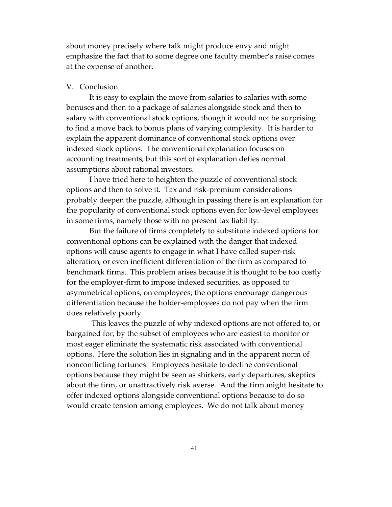about money precisely where talk might produce envy and might emphasize the fact that to some degree one faculty member's raise comes at the expense of another.

#### V. Conclusion

It is easy to explain the move from salaries to salaries with some bonuses and then to a package of salaries alongside stock and then to salary with conventional stock options, though it would not be surprising to find a move back to bonus plans of varying complexity. It is harder to explain the apparent dominance of conventional stock options over indexed stock options. The conventional explanation focuses on accounting treatments, but this sort of explanation defies normal assumptions about rational investors.

I have tried here to heighten the puzzle of conventional stock options and then to solve it. Tax and risk-premium considerations probably deepen the puzzle, although in passing there is an explanation for the popularity of conventional stock options even for low-level employees in some firms, namely those with no present tax liability.

But the failure of firms completely to substitute indexed options for conventional options can be explained with the danger that indexed options will cause agents to engage in what I have called super-risk alteration, or even inefficient differentiation of the firm as compared to benchmark firms. This problem arises because it is thought to be too costly for the employer-firm to impose indexed securities, as opposed to asymmetrical options, on employees; the options encourage dangerous differentiation because the holder-employees do not pay when the firm does relatively poorly.

 This leaves the puzzle of why indexed options are not offered to, or bargained for, by the subset of employees who are easiest to monitor or most eager eliminate the systematic risk associated with conventional options. Here the solution lies in signaling and in the apparent norm of nonconflicting fortunes. Employees hesitate to decline conventional options because they might be seen as shirkers, early departures, skeptics about the firm, or unattractively risk averse. And the firm might hesitate to offer indexed options alongside conventional options because to do so would create tension among employees. We do not talk about money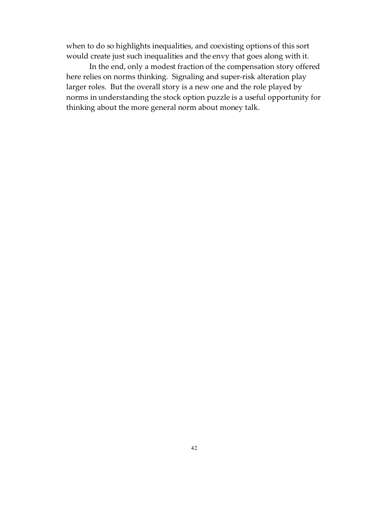when to do so highlights inequalities, and coexisting options of this sort would create just such inequalities and the envy that goes along with it.

In the end, only a modest fraction of the compensation story offered here relies on norms thinking. Signaling and super-risk alteration play larger roles. But the overall story is a new one and the role played by norms in understanding the stock option puzzle is a useful opportunity for thinking about the more general norm about money talk.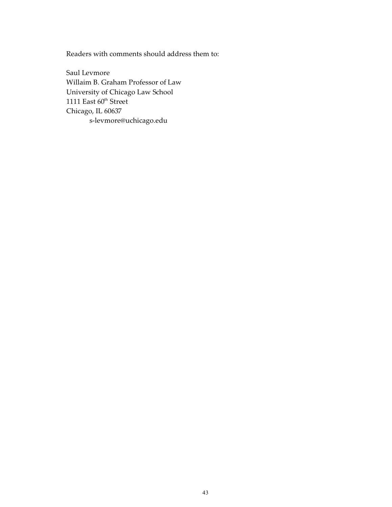Readers with comments should address them to:

Saul Levmore Willaim B. Graham Professor of Law University of Chicago Law School 1111 East  $60<sup>th</sup>$  Street Chicago, IL 60637 s-levmore@uchicago.edu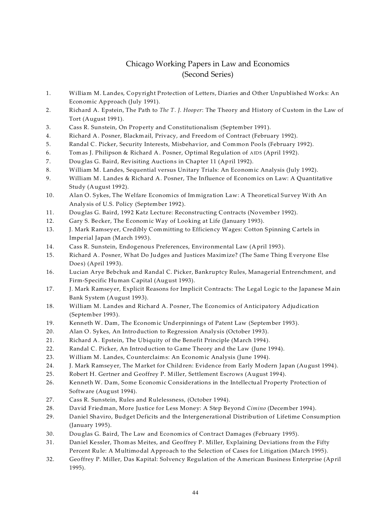# Chicago Working Papers in Law and Economics (Second Series)

- 1. William M. Landes, Copyright Protection of Letters, Diaries and Other Unpublished Works: An Economic Approach (July 1991).
- 2. Richard A. Epstein, The Path to *The T. J. Hooper*: The Theory and History of Custom in the Law of Tort (August 1991).
- 3. Cass R. Sunstein, On Property and Constitutionalism (September 1991).
- 4. Richard A. Posner, Blackmail, Privacy, and Freedom of Contract (February 1992).
- 5. Randal C. Picker, Security Interests, Misbehavior, and Common Pools (February 1992).
- 6. Tomas J. Philipson & Richard A. Posner, Optimal Regulation of AIDS (April 1992).
- 7. Douglas G. Baird, Revisiting Auctions in Chapter 11 (April 1992).
- 8. William M. Landes, Sequential versus Unitary Trials: An Economic Analysis (July 1992).
- 9. William M. Landes & Richard A. Posner, The Influence of Economics on Law: A Quantitative Study (August 1992).
- 10. Alan O. Sykes, The Welfare Economics of Immigration Law: A Theoretical Survey With An Analysis of U.S. Policy (September 1992).
- 11. Douglas G. Baird, 1992 Katz Lecture: Reconstructing Contracts (November 1992).
- 12. Gary S. Becker, The Economic Way of Looking at Life (January 1993).
- 13. J. Mark Ramseyer, Credibly Committing to Efficiency Wages: Cotton Spinning Cartels in Imperial Japan (March 1993).
- 14. Cass R. Sunstein, Endogenous Preferences, Environmental Law (April 1993).
- 15. Richard A. Posner, What Do Judges and Justices Maximize? (The Same Thing Everyone Else Does) (April 1993).
- 16. Lucian Arye Bebchuk and Randal C. Picker, Bankruptcy Rules, Managerial Entrenchment, and Firm-Specific Human Capital (August 1993).
- 17. J. Mark Ramseyer, Explicit Reasons for Implicit Contracts: The Legal Logic to the Japanese Main Bank System (August 1993).
- 18. William M. Landes and Richard A. Posner, The Economics of Anticipatory Adjudication (September 1993).
- 19. Kenneth W. Dam, The Economic Underpinnings of Patent Law (September 1993).
- 20. Alan O. Sykes, An Introduction to Regression Analysis (October 1993).
- 21. Richard A. Epstein, The Ubiquity of the Benefit Principle (March 1994).
- 22. Randal C. Picker, An Introduction to Game Theory and the Law (June 1994).
- 23. William M. Landes, Counterclaims: An Economic Analysis (June 1994).
- 24. J. Mark Ramseyer, The Market for Children: Evidence from Early Modern Japan (August 1994).
- 25. Robert H. Gertner and Geoffrey P. Miller, Settlement Escrows (August 1994).
- 26. Kenneth W. Dam, Some Economic Considerations in the Intellectual Property Protection of Software (August 1994).
- 27. Cass R. Sunstein, Rules and Rulelessness, (October 1994).
- 28. David Friedman, More Justice for Less Money: A Step Beyond *Cimino* (December 1994).
- 29. Daniel Shaviro, Budget Deficits and the Intergenerational Distribution of Lifetime Consumption (January 1995).
- 30. Douglas G. Baird, The Law and Economics of Contract Damages (February 1995).
- 31. Daniel Kessler, Thomas Meites, and Geoffrey P. Miller, Explaining Deviations from the Fifty Percent Rule: A Multimodal Approach to the Selection of Cases for Litigation (March 1995).
- 32. Geoffrey P. Miller, Das Kapital: Solvency Regulation of the American Business Enterprise (April 1995).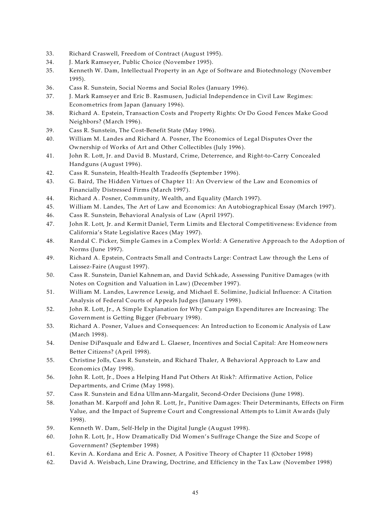- 33. Richard Craswell, Freedom of Contract (August 1995).
- 34. J. Mark Ramseyer, Public Choice (November 1995).
- 35. Kenneth W. Dam, Intellectual Property in an Age of Software and Biotechnology (November 1995).
- 36. Cass R. Sunstein, Social Norms and Social Roles (January 1996).
- 37. J. Mark Ramseyer and Eric B. Rasmusen, Judicial Independence in Civil Law Regimes: Econometrics from Japan (January 1996).
- 38. Richard A. Epstein, Transaction Costs and Property Rights: Or Do Good Fences Make Good Neighbors? (March 1996).
- 39. Cass R. Sunstein, The Cost-Benefit State (May 1996).
- 40. William M. Landes and Richard A. Posner, The Economics of Legal Disputes Over the Ownership of Works of Art and Other Collectibles (July 1996).
- 41. John R. Lott, Jr. and David B. Mustard, Crime, Deterrence, and Right-to-Carry Concealed Handguns (August 1996).
- 42. Cass R. Sunstein, Health-Health Tradeoffs (September 1996).
- 43. G. Baird, The Hidden Virtues of Chapter 11: An Overview of the Law and Economics of Financially Distressed Firms (March 1997).
- 44. Richard A. Posner, Community, Wealth, and Equality (March 1997).
- 45. William M. Landes, The Art of Law and Economics: An Autobiographical Essay (March 1997).
- 46. Cass R. Sunstein, Behavioral Analysis of Law (April 1997).
- 47. John R. Lott, Jr. and Kermit Daniel, Term Limits and Electoral Competitiveness: Evidence from California's State Legislative Races (May 1997).
- 48. Randal C. Picker, Simple Games in a Complex World: A Generative Approach to the Adoption of Norms (June 1997).
- 49. Richard A. Epstein, Contracts Small and Contracts Large: Contract Law through the Lens of Laissez-Faire (August 1997).
- 50. Cass R. Sunstein, Daniel Kahneman, and David Schkade, Assessing Punitive Damages (with Notes on Cognition and Valuation in Law) (December 1997).
- 51. William M. Landes, Lawrence Lessig, and Michael E. Solimine, Judicial Influence: A Citation Analysis of Federal Courts of Appeals Judges (January 1998).
- 52. John R. Lott, Jr., A Simple Explanation for Why Campaign Expenditures are Increasing: The Government is Getting Bigger (February 1998).
- 53. Richard A. Posner, Values and Consequences: An Introduction to Economic Analysis of Law (March 1998).
- 54. Denise DiPasquale and Edward L. Glaeser, Incentives and Social Capital: Are Homeowners Better Citizens? (April 1998).
- 55. Christine Jolls, Cass R. Sunstein, and Richard Thaler, A Behavioral Approach to Law and Economics (May 1998).
- 56. John R. Lott, Jr., Does a Helping Hand Put Others At Risk?: Affirmative Action, Police Departments, and Crime (May 1998).
- 57. Cass R. Sunstein and Edna Ullmann-Margalit, Second-Order Decisions (June 1998).
- 58. Jonathan M. Karpoff and John R. Lott, Jr., Punitive Damages: Their Determinants, Effects on Firm Value, and the Impact of Supreme Court and Congressional Attempts to Limit Awards (July 1998).
- 59. Kenneth W. Dam, Self-Help in the Digital Jungle (August 1998).
- 60. John R. Lott, Jr., How Dramatically Did Women's Suffrage Change the Size and Scope of Government? (September 1998)
- 61. Kevin A. Kordana and Eric A. Posner, A Positive Theory of Chapter 11 (October 1998)
- 62. David A. Weisbach, Line Drawing, Doctrine, and Efficiency in the Tax Law (November 1998)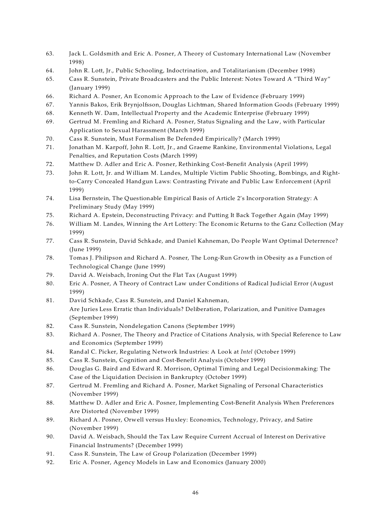- 63. Jack L. Goldsmith and Eric A. Posner, A Theory of Customary International Law (November 1998)
- 64. John R. Lott, Jr., Public Schooling, Indoctrination, and Totalitarianism (December 1998)
- 65. Cass R. Sunstein, Private Broadcasters and the Public Interest: Notes Toward A "Third Way" (January 1999)
- 66. Richard A. Posner, An Economic Approach to the Law of Evidence (February 1999)
- 67. Yannis Bakos, Erik Brynjolfsson, Douglas Lichtman, Shared Information Goods (February 1999)
- 68. Kenneth W. Dam, Intellectual Property and the Academic Enterprise (February 1999)
- 69. Gertrud M. Fremling and Richard A. Posner, Status Signaling and the Law, with Particular Application to Sexual Harassment (March 1999)
- 70. Cass R. Sunstein, Must Formalism Be Defended Empirically? (March 1999)
- 71. Jonathan M. Karpoff, John R. Lott, Jr., and Graeme Rankine, Environmental Violations, Legal Penalties, and Reputation Costs (March 1999)
- 72. Matthew D. Adler and Eric A. Posner, Rethinking Cost-Benefit Analysis (April 1999)
- 73. John R. Lott, Jr. and William M. Landes, Multiple Victim Public Shooting, Bombings, and Rightto-Carry Concealed Handgun Laws: Contrasting Private and Public Law Enforcement (April 1999)
- 74. Lisa Bernstein, The Questionable Empirical Basis of Article 2's Incorporation Strategy: A Preliminary Study (May 1999)
- 75. Richard A. Epstein, Deconstructing Privacy: and Putting It Back Together Again (May 1999)
- 76. William M. Landes, Winning the Art Lottery: The Economic Returns to the Ganz Collection (May 1999)
- 77. Cass R. Sunstein, David Schkade, and Daniel Kahneman, Do People Want Optimal Deterrence? (June 1999)
- 78. Tomas J. Philipson and Richard A. Posner, The Long-Run Growth in Obesity as a Function of Technological Change (June 1999)
- 79. David A. Weisbach, Ironing Out the Flat Tax (August 1999)
- 80. Eric A. Posner, A Theory of Contract Law under Conditions of Radical Judicial Error (August 1999)
- 81. David Schkade, Cass R. Sunstein, and Daniel Kahneman, Are Juries Less Erratic than Individuals? Deliberation, Polarization, and Punitive Damages (September 1999)
- 82. Cass R. Sunstein, Nondelegation Canons (September 1999)
- 83. Richard A. Posner, The Theory and Practice of Citations Analysis, with Special Reference to Law and Economics (September 1999)
- 84. Randal C. Picker, Regulating Network Industries: A Look at *Intel* (October 1999)
- 85. Cass R. Sunstein, Cognition and Cost-Benefit Analysis (October 1999)
- 86. Douglas G. Baird and Edward R. Morrison, Optimal Timing and Legal Decisionmaking: The Case of the Liquidation Decision in Bankruptcy (October 1999)
- 87. Gertrud M. Fremling and Richard A. Posner, Market Signaling of Personal Characteristics (November 1999)
- 88. Matthew D. Adler and Eric A. Posner, Implementing Cost-Benefit Analysis When Preferences Are Distorted (November 1999)
- 89. Richard A. Posner, Orwell versus Huxley: Economics, Technology, Privacy, and Satire (November 1999)
- 90. David A. Weisbach, Should the Tax Law Require Current Accrual of Interest on Derivative Financial Instruments? (December 1999)
- 91. Cass R. Sunstein, The Law of Group Polarization (December 1999)
- 92. Eric A. Posner, Agency Models in Law and Economics (January 2000)